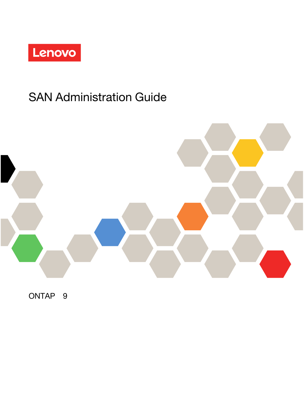

# SAN Administration Guide



ONTAP® 9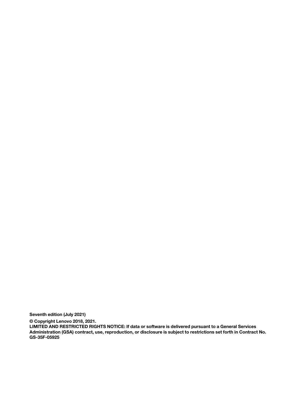Seventh edition (July 2021)

© Copyright Lenovo 2018, 2021.

LIMITED AND RESTRICTED RIGHTS NOTICE: If data or software is delivered pursuant to a General Services Administration (GSA) contract, use, reproduction, or disclosure is subject to restrictions set forth in Contract No. GS-35F-05925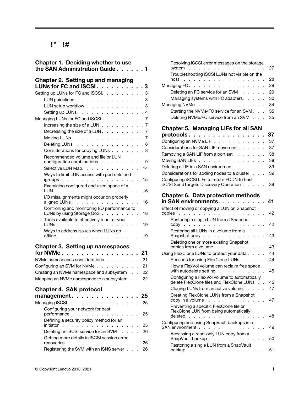# **Contents**

| Chapter 1. Deciding whether to use<br>the SAN Administration Guide                                                     | 1       |
|------------------------------------------------------------------------------------------------------------------------|---------|
| Chapter 2. Setting up and managing<br>LUNs for FC and iSCSI                                                            | . 3     |
| Setting up LUNs for FC and iSCSI.<br>$\mathcal{L}^{\text{max}}$<br>$\mathbf{r}$<br>$\mathbf{r}$<br>$\mathcal{L}^{\pm}$ | . 3     |
| LUN guidelines                                                                                                         | 3       |
| LUN setup workflow                                                                                                     | 3       |
| Setting up LUNs.                                                                                                       | 4<br>¥. |
| Managing LUNs for FC and iSCSi.                                                                                        | .7      |
| Increasing the size of a LUN $\ldots$ $\ldots$ $\ldots$                                                                | .7      |
| Decreasing the size of a LUN<br>$\mathbf{L}^{\text{max}}$<br>$\mathbf{r}$<br>$\mathbf{r}$<br>$\mathbf{r}$              | .7      |
| Moving LUNs<br>$\mathcal{L}^{\text{max}}$<br>$\mathbf{r}$                                                              | . 7     |
| Deleting LUNs<br>a na salawan<br>L.<br>$\mathcal{L}^{\mathcal{A}}$ and $\mathcal{L}^{\mathcal{A}}$<br>$\mathbf{r}$     | . 8     |
| Considerations for copying LUNs<br>ä,                                                                                  | . 8     |
| Recommended volume and file or LUN<br>configuration combinations $\ldots$                                              | . 9     |
| Selective LUN Map.                                                                                                     | 14      |
| Ways to limit LUN access with port sets and<br>igroups                                                                 | 15      |
| Examining configured and used space of a<br>LUN                                                                        | 16      |
| I/O misalignments might occur on properly<br>aligned LUNs                                                              | 16      |
| Controlling and monitoring I/O performance to<br>LUNs by using Storage QoS                                             | 18      |
| Tools available to effectively monitor your<br>LUNs                                                                    | 19      |
| Ways to address issues when LUNs go<br>offline.                                                                        | 19      |
|                                                                                                                        |         |
| <b>Chapter 3. Setting up namespaces</b>                                                                                |         |
| for NVMe<br>and a straight and                                                                                         | 21      |
| NVMe namespaces considerations<br>$\mathbf{r}$                                                                         | 21      |
| Configuring an SVM for NVMe                                                                                            | 21      |
| Creating an NVMe namespace and subsystem                                                                               | 22      |
| Mapping an NVMe namespace to a subsystem                                                                               | 22      |
| <b>Chapter 4. SAN protocol</b>                                                                                         |         |
| management                                                                                                             | 25      |
| Managing iSCSI.<br>J.                                                                                                  | 25      |
| Configuring your network for best<br>performance                                                                       | 25      |
| Defining a security policy method for an<br>initiator                                                                  | 25      |
| Deleting an iSCSI service for an SVM                                                                                   | 26      |
| Getting more details in iSCSI session error<br>recoveries                                                              | 26      |
| Registering the SVM with an iSNS server                                                                                | 26      |

| Resolving iSCSI error messages on the storage<br>system<br>a caracteristic<br>and a state                               | 27       |
|-------------------------------------------------------------------------------------------------------------------------|----------|
| Troubleshooting iSCSI LUNs not visible on the<br>host                                                                   | 28       |
| the contract of the con-<br>$\mathbf{r}$<br>$\sim$<br>Managing FC                                                       | 29       |
| .<br>Deleting an FC service for an SVM                                                                                  | 29       |
|                                                                                                                         | 30       |
| Managing systems with FC adapters.                                                                                      |          |
| Managing NVMe<br>and a strain and a strain                                                                              | 34       |
| Starting the NVMe/FC service for an SVM.<br>Deleting NVMe/FC service from an SVM .                                      | 35<br>35 |
|                                                                                                                         |          |
| <b>Chapter 5. Managing LIFs for all SAN</b><br>protocols .<br>.                                                         | 37       |
| Configuring an NVMe LIF.                                                                                                | 37       |
| Considerations for SAN LIF movement.                                                                                    | 37       |
| Removing a SAN LIF from a port set                                                                                      | 38       |
| $\sim$<br>Moving SAN LIFs<br>$1 - 1 - 1$<br>$\mathbf{1}$ and $\mathbf{1}$<br>$\overline{a}$<br>$\overline{a}$<br>L.     | 38       |
| Deleting a LIF in a SAN environment                                                                                     | 39       |
| Considerations for adding nodes to a cluster.                                                                           | 39       |
| Configuring iSCSI LIFs to return FQDN to host                                                                           |          |
| <b>ISCSI SendTargets Discovery Operation</b>                                                                            | 39       |
| <b>Chapter 6. Data protection methods</b>                                                                               |          |
| in SAN environments.                                                                                                    | 41       |
| Effect of moving or copying a LUN on Snapshot<br>copies<br>Ĭ.                                                           | 42       |
| and the contract of the contract of<br>Restoring a single LUN from a Snapshot                                           |          |
| copy<br>and a state of the state                                                                                        | 42       |
| Restoring all LUNs in a volume from a<br>Snapshot copy                                                                  | 43       |
| Deleting one or more existing Snapshot                                                                                  |          |
| copies from a volume.                                                                                                   | 43       |
| Using FlexClone LUNs to protect your data.                                                                              | 44       |
| Reasons for using FlexClone LUNs                                                                                        | 44       |
| How a FlexVol volume can reclaim free space<br>with autodelete setting<br>$\mathbf{r}$<br>$\sim$<br>$\sim$ $\sim$<br>a. | 45       |
| Configuring a FlexVol volume to automatically                                                                           |          |
| delete FlexClone files and FlexClone LUNs                                                                               | 45       |
| Cloning LUNs from an active volume                                                                                      | 47       |
| Creating FlexClone LUNs from a Snapshot<br>copy in a volume<br>and a series of the con-                                 | 47       |
| Preventing a specific FlexClone file or<br>FlexClone LUN from being automatically<br>deleted                            | 48       |
| Configuring and using SnapVault backups in a<br>SAN environment                                                         | 49       |
| Accessing a read-only LUN copy from a<br>SnapVault backup<br><b>Contract</b>                                            | 50       |
| Restoring a single LUN from a SnapVault<br>backup                                                                       | 51       |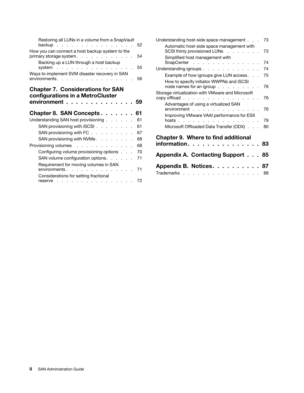| Restoring all LUNs in a volume from a SnapVault<br>backup<br>and the state of      | 52 |
|------------------------------------------------------------------------------------|----|
| How you can connect a host backup system to the<br>primary storage system.         | 54 |
| Backing up a LUN through a host backup<br>system                                   | 55 |
| Ways to implement SVM disaster recovery in SAN<br>environments.                    | 56 |
| <b>Chapter 7. Considerations for SAN</b>                                           |    |
| configurations in a MetroCluster<br>environment.                                   | 59 |
|                                                                                    |    |
| Chapter 8. SAN Concepts.                                                           | 61 |
| Understanding SAN host provisioning.<br>$\sim$<br>$\sim 100$ $\mu$<br>$\mathbf{r}$ | 61 |
| SAN provisioning with iSCSI.<br>$\sim$<br>$\sim$<br>$\mathbf{r}$                   | 61 |
| SAN provisioning with $FC \ldots$<br><b>Carl Carl Corp.</b>                        | 67 |
| SAN provisioning with NVMe.<br>$\sim$<br>ä,                                        | 68 |
| Provisioning volumes<br>$\sim$                                                     | 68 |
| Configuring volume provisioning options.                                           | 70 |
| SAN volume configuration options.<br>and a control                                 | 71 |
| Requirement for moving volumes in SAN<br>environments.                             | 71 |

| Understanding host-side space management                                                                                                                                             | 73 |
|--------------------------------------------------------------------------------------------------------------------------------------------------------------------------------------|----|
| Automatic host-side space management with<br>SCSI thinly provisioned LUNs                                                                                                            | 73 |
| Simplified host management with<br>SnapCenter                                                                                                                                        | 74 |
| Understanding igroups                                                                                                                                                                | 74 |
| Example of how igroups give LUN access                                                                                                                                               | 75 |
| How to specify initiator WWPNs and iSCSI<br>node names for an igroup $\ldots$ $\ldots$ $\ldots$                                                                                      | 76 |
| Storage virtualization with VMware and Microsoft<br>copy offload.<br>the contract of the contract of the contract of the contract of the contract of the contract of the contract of | 76 |
| Advantages of using a virtualized SAN<br>environment                                                                                                                                 | 76 |
| Improving VMware VAAI performance for ESX<br>hosts                                                                                                                                   | 79 |
| Microsoft Offloaded Data Transfer (ODX).                                                                                                                                             | 80 |
| <b>Chapter 9. Where to find additional</b><br>information..<br><b>Contract Contract Contract</b>                                                                                     | 83 |
| <b>Appendix A. Contacting Support</b>                                                                                                                                                | 85 |
| Appendix B. Notices.                                                                                                                                                                 | 87 |
| Trademarks.<br>the contract of the contract of the contract                                                                                                                          | 88 |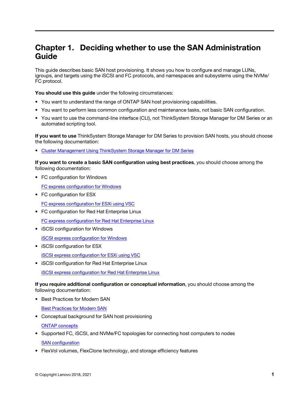# <span id="page-4-0"></span>Chapter 1. Deciding whether to use the SAN Administration Guide

This guide describes basic SAN host provisioning. It shows you how to configure and manage LUNs, igroups, and targets using the iSCSI and FC protocols, and namespaces and subsystems using the NVMe/ FC protocol.

You should use this guide under the following circumstances:

- You want to understand the range of ONTAP SAN host provisioning capabilities.
- You want to perform less common configuration and maintenance tasks, not basic SAN configuration.
- You want to use the command-line interface (CLI), not ThinkSystem Storage Manager for DM Series or an automated scripting tool.

If you want to use ThinkSystem Storage Manager for DM Series to provision SAN hosts, you should choose the following documentation:

• [Cluster Management Using ThinkSystem Storage Manager for DM Series](https://thinksystem.lenovofiles.com/storage/help/topic/ontap_software/cluster_management_overview.html)

If you want to create a basic SAN configuration using best practices, you should choose among the following documentation:

• FC configuration for Windows

[FC express configuration for Windows](http://thinksystem.lenovofiles.com/help/topic/fc_configuration_for_windows_express_guide/overview.html)

• FC configuration for ESX

[FC express configuration for ESXi using VSC](http://thinksystem.lenovofiles.com/help/topic/fc_configuration_for_esxi_express_guide/overview.html)

• FC configuration for Red Hat Enterprise Linux

[FC express configuration for Red Hat Enterprise Linux](http://thinksystem.lenovofiles.com/help/topic/fc_configuration_for_red_hat_linux_express_guide/overview.html)

• iSCSI configuration for Windows

[iSCSI express configuration for Windows](http://thinksystem.lenovofiles.com/help/topic/iscsi_configuration_for_windows_express_guide/overview.html)

• iSCSI configuration for ESX

[iSCSI express configuration for ESXi using VSC](http://thinksystem.lenovofiles.com/help/topic/iscsi_configuration_for_esxi_express_guide/overview.html)

• iSCSI configuration for Red Hat Enterprise Linux

[iSCSI express configuration for Red Hat Enterprise Linux](http://thinksystem.lenovofiles.com/help/topic/iscsi_configuration_for_red_hat_enterprise_linux_express_guide/overview.html)

If you require additional configuration or conceptual information, you should choose among the following documentation:

- Best Practices for Modern SAN
	- [Best Practices for Modern SAN](https://download.lenovo.com/storage/best_practices_for_modern_san.pdf)
- Conceptual background for SAN host provisioning

[ONTAP concepts](http://thinksystem.lenovofiles.com/help/topic/ontap_concepts_guide/overview.html)

• Supported FC, iSCSI, and NVMe/FC topologies for connecting host computers to nodes

[SAN configuration](http://thinksystem.lenovofiles.com/help/topic/san_configuration_guide/overview.html)

• FlexVol volumes, FlexClone technology, and storage efficiency features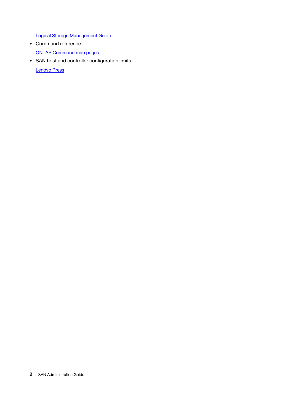[Logical Storage Management Guide](http://thinksystem.lenovofiles.com/help/topic/logical_storage_management_guide/overview.html)

- Command reference [ONTAP Command man pages](https://thinksystem.lenovofiles.com/storage/help/topic/ontap_software/ontap_cli_overview.html)
- SAN host and controller configuration limits

[Lenovo Press](https://lenovopress.com/)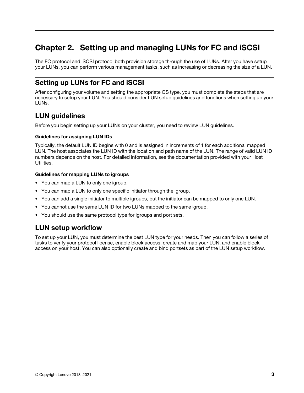# <span id="page-6-0"></span>Chapter 2. Setting up and managing LUNs for FC and iSCSI

The FC protocol and iSCSI protocol both provision storage through the use of LUNs. After you have setup your LUNs, you can perform various management tasks, such as increasing or decreasing the size of a LUN.

# <span id="page-6-1"></span>Setting up LUNs for FC and iSCSI

After configuring your volume and setting the appropriate OS type, you must complete the steps that are necessary to setup your LUN. You should consider LUN setup guidelines and functions when setting up your LUNs.

# <span id="page-6-2"></span>LUN guidelines

Before you begin setting up your LUNs on your cluster, you need to review LUN guidelines.

### Guidelines for assigning LUN IDs

Typically, the default LUN ID begins with 0 and is assigned in increments of 1 for each additional mapped LUN. The host associates the LUN ID with the location and path name of the LUN. The range of valid LUN ID numbers depends on the host. For detailed information, see the documentation provided with your Host Utilities.

### Guidelines for mapping LUNs to igroups

- You can map a LUN to only one igroup.
- You can map a LUN to only one specific initiator through the igroup.
- You can add a single initiator to multiple igroups, but the initiator can be mapped to only one LUN.
- You cannot use the same LUN ID for two LUNs mapped to the same igroup.
- You should use the same protocol type for igroups and port sets.

# <span id="page-6-3"></span>LUN setup workflow

To set up your LUN, you must determine the best LUN type for your needs. Then you can follow a series of tasks to verify your protocol license, enable block access, create and map your LUN, and enable block access on your host. You can also optionally create and bind portsets as part of the LUN setup workflow.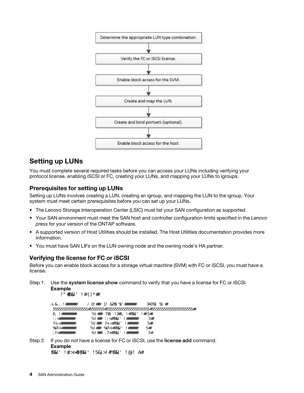

# <span id="page-7-0"></span>Setting up LUNs

You must complete several required tasks before you can access your LUNs including verifying your protocol license, enabling iSCSI or FC, creating your LUNs, and mapping your LUNs to igroups.

### Prerequisites for setting up LUNs

Setting up LUNs involves creating a LUN, creating an igroup, and mapping the LUN to the igroup. Your system must meet certain prerequisites before you can set up your LUNs.

- The Lenovo Storage Interoperation Center (LSIC) must list your SAN configuration as supported.
- Your SAN environment must meet the SAN host and controller configuration limits specified in the *Lenovo press* for your version of the ONTAP software.
- A supported version of Host Utilities should be installed. The Host Utilities documentation provides more information.
- You must have SAN LIFs on the LUN owning node and the owning node's HA partner.

### Verifying the license for FC or iSCSI

Before you can enable block access for a storage virtual machine (SVM) with FC or iSCSI, you must have a license.

Step 1. Use the system license show command to verify that you have a license for FC or iSCSI.

```
Example
```
system license show

| Package       | Type | Description            | Expiration |
|---------------|------|------------------------|------------|
| Base          | site | Cluster Base License - |            |
| <b>NFS</b>    | site | NFS License            | ۰          |
| <b>GFS</b>    | site | <b>GFS</b> License     |            |
| <i>i</i> SCSI | site | <b>iSCSI</b> License   | -          |
| FCP           | site | FCP License            | -          |

Step 2. If you do not have a license for FC or iSCSI, use the license add command. Example

license add -license-code <license\_key>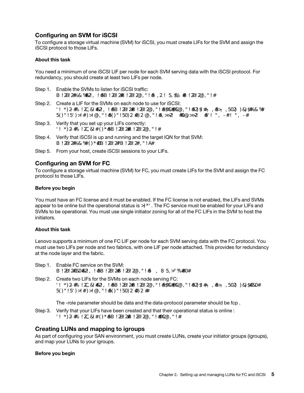### Configuring an SVM for iSCSI

To configure a storage virtual machine (SVM) for iSCSI, you must create LIFs for the SVM and assign the iSCSI protocol to those LIFs.

### About this task

You need a minimum of one iSCSI LIF per node for each SVM serving data with the iSCSI protocol. For redundancy, you should create at least two LIFs per node.

- Step 1. Enable the SVMs to listen for iSCSI traffic: vserver iscsi create -vserver vserver\_name -target-alias vserver\_name
- Step 2. Create a LIF for the SVMs on each node to use for iSCSI: network interface create -vserver vserver\_name -lif lif\_name -role data -data-protocol iscsi -home-node node\_name -home-port port\_name -address ip\_address -netmask netmask
- Step 3. Verify that you set up your LIFs correctly: net work interface show-vserver vserver name
- Step 4. Verify that iSCSI is up and running and the target IQN for that SVM: vserver iscsi show-vserver <vserver name>
- Step 5. From your host, create iSCSI sessions to your LIFs.

### Configuring an SVM for FC

To configure a storage virtual machine (SVM) for FC, you must create LIFs for the SVM and assign the FC protocol to those LIFs.

### Before you begin

You must have an FC license and it must be enabled. If the FC license is not enabled, the LIFs and SVMs appear to be online but the operational status is down. The FC service must be enabled for your LIFs and SVMs to be operational. You must use single initiator zoning for all of the FC LIFs in the SVM to host the initiators.

### About this task

Lenovo supports a minimum of one FC LIF per node for each SVM serving data with the FC protocol. You must use two LIFs per node and two fabrics, with one LIF per node attached. This provides for redundancy at the node layer and the fabric.

- Step 1. Enable FC service on the SVM: vserver fcp create -vserver vserver\_name -status-admin up
- Step 2. Create two LIFs for the SVMs on each node serving FC: net work interface create - vserver vserver name - lif lif name - role data - data-protocol fcp -home-node node\_name -home-port port

The -role parameter should be data and the data-protocol parameter should be fcp .

Step 3. Verify that your LIFs have been created and that their operational status is online : net work interface show-vserver vserver\_name lif\_name

### Creating LUNs and mapping to igroups

As part of configuring your SAN environment, you must create LUNs, create your initiator groups (igroups), and map your LUNs to your igroups.

### Before you begin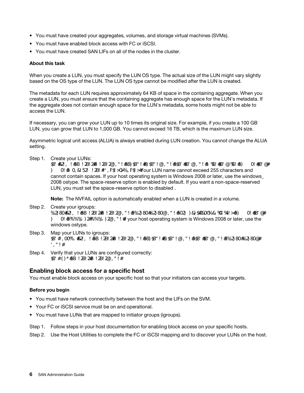- You must have created your aggregates, volumes, and storage virtual machines (SVMs).
- You must have enabled block access with FC or iSCSI.
- You must have created SAN LIFs on all of the nodes in the cluster.

### About this task

When you create a LUN, you must specify the LUN OS type. The actual size of the LUN might vary slightly based on the OS type of the LUN. The LUN OS type cannot be modified after the LUN is created.

The metadata for each LUN requires approximately 64 KB of space in the containing aggregate. When you create a LUN, you must ensure that the containing aggregate has enough space for the LUN's metadata. If the aggregate does not contain enough space for the LUN's metadata, some hosts might not be able to access the LUN.

If necessary, you can grow your LUN up to 10 times its original size. For example, if you create a 100 GB LUN, you can grow that LUN to 1,000 GB. You cannot exceed 16 TB, which is the maximum LUN size.

Asymmetric logical unit access (ALUA) is always enabled during LUN creation. You cannot change the ALUA setting.

Step 1. Create your LUNs:

lun create -vserver vserver name -volume volume name -lun lun name -size lun size -ostype lun ostype -space-reserve enabled|disabled Your LUN name cannot exceed 255 characters and cannot contain spaces. If your host operating system is Windows 2008 or later, use the windows\_ 2008 ostype. The space-reserve option is enabled by default. If you want a non-space-reserved LUN, you must set the space-reserve option to disabled .

Note: The NVFAIL option is automatically enabled when a LUN is created in a volume.

Step 2. Create your igroups: igroup create - vserver vserver\_name -igroup igroup\_name - protocol fcp|iscsi|mixed - ostype lun\_ ostype -initiator initiator\_name If your host operating system is Windows 2008 or later, use the windows ostype.

- Step 3. Map your LUNs to igroups: lun mapping create - vserver vserver\_name - volume volume\_name - lun lun\_name - igroup igroup\_ name
- Step 4. Verify that your LUNs are configured correctly: lun show- vserver vserver\_name

### Enabling block access for a specific host

You must enable block access on your specific host so that your initiators can access your targets.

### Before you begin

- You must have network connectivity between the host and the LIFs on the SVM.
- Your FC or iSCSI service must be on and operational.
- You must have LUNs that are mapped to initiator groups (igroups).
- Step 1. Follow steps in your host documentation for enabling block access on your specific hosts.

Step 2. Use the Host Utilities to complete the FC or iSCSI mapping and to discover your LUNs on the host.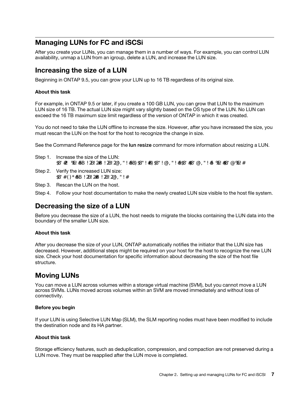# <span id="page-10-0"></span>Managing LUNs for FC and iSCSi

After you create your LUNs, you can manage them in a number of ways. For example, you can control LUN availability, unmap a LUN from an igroup, delete a LUN, and increase the LUN size.

### <span id="page-10-1"></span>Increasing the size of a LUN

Beginning in ONTAP 9.5, you can grow your LUN up to 16 TB regardless of its original size.

### About this task

For example, in ONTAP 9.5 or later, if you create a 100 GB LUN, you can grow that LUN to the maximum LUN size of 16 TB. The actual LUN size might vary slightly based on the OS type of the LUN. No LUN can exceed the 16 TB maximum size limit regardless of the version of ONTAP in which it was created.

You do not need to take the LUN offline to increase the size. However, after you have increased the size, you must rescan the LUN on the host for the host to recognize the change in size.

See the Command Reference page for the **lun resize** command for more information about resizing a LUN.

- Step 1. Increase the size of the LUN: lun resize -vserver vserver\_name -volume volume\_name -lun lun\_name -size lun\_size
- Step 2. Verify the increased LUN size: lun show- vserver vserver\_name
- Step 3. Rescan the LUN on the host.
- Step 4. Follow your host documentation to make the newly created LUN size visible to the host file system.

# <span id="page-10-2"></span>Decreasing the size of a LUN

Before you decrease the size of a LUN, the host needs to migrate the blocks containing the LUN data into the boundary of the smaller LUN size.

### About this task

After you decrease the size of your LUN, ONTAP automatically notifies the initiator that the LUN size has decreased. However, additional steps might be required on your host for the host to recognize the new LUN size. Check your host documentation for specific information about decreasing the size of the host file structure.

# <span id="page-10-3"></span>Moving LUNs

You can move a LUN across volumes within a storage virtual machine (SVM), but you cannot move a LUN across SVMs. LUNs moved across volumes within an SVM are moved immediately and without loss of connectivity.

### Before you begin

If your LUN is using Selective LUN Map (SLM), the SLM reporting nodes must have been modified to include the destination node and its HA partner.

### About this task

Storage efficiency features, such as deduplication, compression, and compaction are not preserved during a LUN move. They must be reapplied after the LUN move is completed.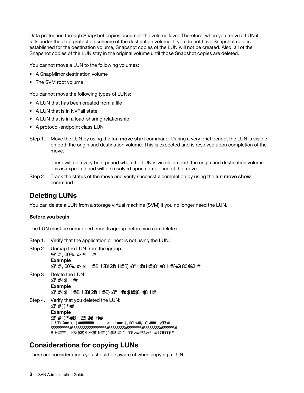Data protection through Snapshot copies occurs at the volume level. Therefore, when you move a LUN it falls under the data protection scheme of the destination volume. If you do not have Snapshot copies established for the destination volume, Snapshot copies of the LUN will not be created. Also, all of the Snapshot copies of the LUN stay in the original volume until those Snapshot copies are deleted.

You cannot move a LUN to the following volumes:

- A SnapMirror destination volume
- The SVM root volume

You cannot move the following types of LUNs:

- A LUN that has been created from a file
- A LUN that is in NVFail state
- A LUN that is in a load-sharing relationship
- A protocol-endpoint class LUN
- Step 1. Move the LUN by using the lun move start command. During a very brief period, the LUN is visible on both the origin and destination volume. This is expected and is resolved upon completion of the move.

There will be a very brief period when the LUN is visible on both the origin and destination volume. This is expected and will be resolved upon completion of the move.

Step 2. Track the status of the move and verify successful completion by using the lun move show command.

# <span id="page-11-0"></span>Deleting LUNs

You can delete a LUN from a storage virtual machine (SVM) if you no longer need the LUN.

### Before you begin

The LUN must be unmapped from its igroup before you can delete it.

- Step 1. Verify that the application or host is not using the LUN.
- Step 2. Unmap the LUN from the igroup: lun mapping delete Example lun mapping delete -vserver vs5 -volume vo5 -lun lun5 -igroup igr5
- Step 3. Delete the LUN: lun delete Example lun delete -vserver vs5 -volume vol5 -lun lun5
- Step 4. Verify that you deleted the LUN: lun show Example lun show-vserver vs5 Vserver Path State Mapped Type Size --------- ----------------- -------- ------- -------- ----- vs5 /vol/vol16/lun8 online mapped windows 10.00GB

# <span id="page-11-1"></span>Considerations for copying LUNs

There are considerations you should be aware of when copying a LUN.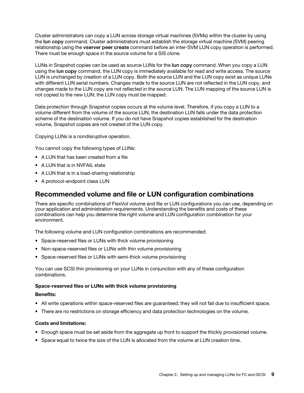Cluster administrators can copy a LUN across storage virtual machines (SVMs) within the cluster by using the lun copy command. Cluster administrators must establish the storage virtual machine (SVM) peering relationship using the vserver peer create command before an inter-SVM LUN copy operation is performed. There must be enough space in the source volume for a SIS clone.

LUNs in Snapshot copies can be used as source LUNs for the lun copy command. When you copy a LUN using the lun copy command, the LUN copy is immediately available for read and write access. The source LUN is unchanged by creation of a LUN copy. Both the source LUN and the LUN copy exist as unique LUNs with different LUN serial numbers. Changes made to the source LUN are not reflected in the LUN copy, and changes made to the LUN copy are not reflected in the source LUN. The LUN mapping of the source LUN is not copied to the new LUN; the LUN copy must be mapped.

Data protection through Snapshot copies occurs at the volume level. Therefore, if you copy a LUN to a volume different from the volume of the source LUN, the destination LUN falls under the data protection scheme of the destination volume. If you do not have Snapshot copies established for the destination volume, Snapshot copies are not created of the LUN copy.

Copying LUNs is a nondisruptive operation.

You cannot copy the following types of LUNs:

- A LUN that has been created from a file
- A LUN that is in NVFAIL state
- A LUN that is in a load-sharing relationship
- A protocol-endpoint class LUN

### <span id="page-12-0"></span>Recommended volume and file or LUN configuration combinations

There are specific combinations of FlexVol volume and file or LUN configurations you can use, depending on your application and administration requirements. Understanding the benefits and costs of these combinations can help you determine the right volume and LUN configuration combination for your environment.

The following volume and LUN configuration combinations are recommended:

- Space-reserved files or LUNs with thick volume provisioning
- Non-space-reserved files or LUNs with thin volume provisioning
- Space-reserved files or LUNs with semi-thick volume provisioning

You can use SCSI thin provisioning on your LUNs in conjunction with any of these configuration combinations.

### Space-reserved files or LUNs with thick volume provisioning

### Benefits:

- All write operations within space-reserved files are guaranteed; they will not fail due to insufficient space.
- There are no restrictions on storage efficiency and data protection technologies on the volume.

### Costs and limitations:

- Enough space must be set aside from the aggregate up front to support the thickly provisioned volume.
- Space equal to twice the size of the LUN is allocated from the volume at LUN creation time.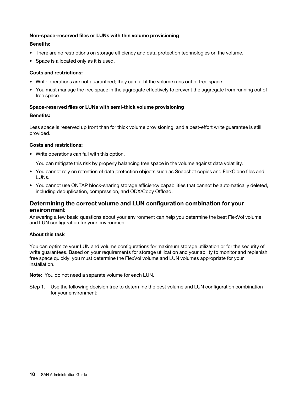### Non-space-reserved files or LUNs with thin volume provisioning

### Benefits:

- There are no restrictions on storage efficiency and data protection technologies on the volume.
- Space is allocated only as it is used.

### Costs and restrictions:

- Write operations are not guaranteed; they can fail if the volume runs out of free space.
- You must manage the free space in the aggregate effectively to prevent the aggregate from running out of free space.

### Space-reserved files or LUNs with semi-thick volume provisioning

### Benefits:

Less space is reserved up front than for thick volume provisioning, and a best-effort write guarantee is still provided.

### Costs and restrictions:

• Write operations can fail with this option.

You can mitigate this risk by properly balancing free space in the volume against data volatility.

- You cannot rely on retention of data protection objects such as Snapshot copies and FlexClone files and LUNs.
- You cannot use ONTAP block-sharing storage efficiency capabilities that cannot be automatically deleted, including deduplication, compression, and ODX/Copy Offload.

### Determining the correct volume and LUN configuration combination for your environment

Answering a few basic questions about your environment can help you determine the best FlexVol volume and LUN configuration for your environment.

### About this task

You can optimize your LUN and volume configurations for maximum storage utilization or for the security of write guarantees. Based on your requirements for storage utilization and your ability to monitor and replenish free space quickly, you must determine the FlexVol volume and LUN volumes appropriate for your installation.

Note: You do not need a separate volume for each LUN.

Step 1. Use the following decision tree to determine the best volume and LUN configuration combination for your environment: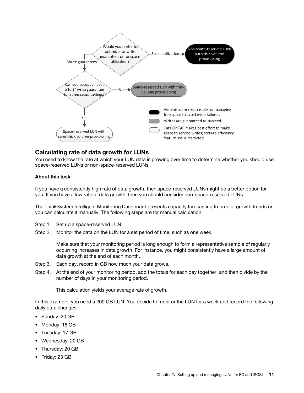

### Calculating rate of data growth for LUNs

You need to know the rate at which your LUN data is growing over time to determine whether you should use space-reserved LUNs or non-space-reserved LUNs.

### About this task

If you have a consistently high rate of data growth, then space-reserved LUNs might be a better option for you. If you have a low rate of data growth, then you should consider non-space-reserved LUNs.

The ThinkSystem Intelligent Monitoring Dashboard presents capacity forecasting to predict growth trends or you can calculate it manually. The following steps are for manual calculation.

- Step 1. Set up a space-reserved LUN.
- Step 2. Monitor the data on the LUN for a set period of time, such as one week.

Make sure that your monitoring period is long enough to form a representative sample of regularly occurring increases in data growth. For instance, you might consistently have a large amount of data growth at the end of each month.

- Step 3. Each day, record in GB how much your data grows.
- Step 4. At the end of your monitoring period, add the totals for each day together, and then divide by the number of days in your monitoring period.

This calculation yields your average rate of growth.

In this example, you need a 200 GB LUN. You decide to monitor the LUN for a week and record the following daily data changes:

- Sunday: 20 GB
- Monday: 18 GB
- Tuesday: 17 GB
- Wednesday: 20 GB
- Thursday: 20 GB
- Friday: 23 GB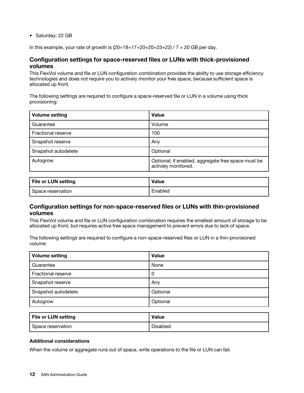• Saturday: 22 GB

In this example, your rate of growth is  $(20+18+17+20+20+23+22)$  /  $7 = 20$  GB per day.

### Configuration settings for space-reserved files or LUNs with thick-provisioned volumes

This FlexVol volume and file or LUN configuration combination provides the ability to use storage efficiency technologies and does not require you to actively monitor your free space, because sufficient space is allocated up front.

The following settings are required to configure a space-reserved file or LUN in a volume using thick provisioning:

| <b>Volume setting</b>     | <b>Value</b>                                                              |
|---------------------------|---------------------------------------------------------------------------|
| Guarantee                 | Volume                                                                    |
| <b>Fractional reserve</b> | 100                                                                       |
| Snapshot reserve          | Any                                                                       |
| Snapshot autodelete       | Optional                                                                  |
| Autogrow                  | Optional; if enabled, aggregate free space must be<br>actively monitored. |

| <b>File or LUN setting</b> | <b>Value</b> |
|----------------------------|--------------|
| Space reservation          | Enabled      |

### Configuration settings for non-space-reserved files or LUNs with thin-provisioned volumes

This FlexVol volume and file or LUN configuration combination requires the smallest amount of storage to be allocated up front, but requires active free space management to prevent errors due to lack of space.

The following settings are required to configure a non-space-reserved files or LUN in a thin-provisioned volume:

| <b>Volume setting</b> | <b>Value</b> |
|-----------------------|--------------|
| Guarantee             | None         |
| Fractional reserve    | 0            |
| Snapshot reserve      | Any          |
| Snapshot autodelete   | Optional     |
| Autogrow              | Optional     |

| <b>File or LUN setting</b> | <b>Value</b>    |
|----------------------------|-----------------|
| Space reservation          | <b>Disabled</b> |

### Additional considerations

When the volume or aggregate runs out of space, write operations to the file or LUN can fail.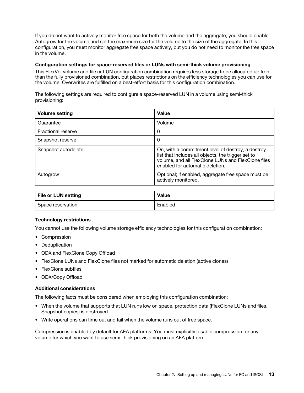If you do not want to actively monitor free space for both the volume and the aggregate, you should enable Autogrow for the volume and set the maximum size for the volume to the size of the aggregate. In this configuration, you must monitor aggregate free space actively, but you do not need to monitor the free space in the volume.

#### Configuration settings for space-reserved files or LUNs with semi-thick volume provisioning

This FlexVol volume and file or LUN configuration combination requires less storage to be allocated up front than the fully provisioned combination, but places restrictions on the efficiency technologies you can use for the volume. Overwrites are fulfilled on a best-effort basis for this configuration combination.

The following settings are required to configure a space-reserved LUN in a volume using semi-thick provisioning:

| <b>Volume setting</b>     | Value                                                                                                                                                                                            |
|---------------------------|--------------------------------------------------------------------------------------------------------------------------------------------------------------------------------------------------|
| Guarantee                 | Volume                                                                                                                                                                                           |
| <b>Fractional reserve</b> | 0                                                                                                                                                                                                |
| Snapshot reserve          | 0                                                                                                                                                                                                |
| Snapshot autodelete       | On, with a commitment level of destroy, a destroy<br>list that includes all objects, the trigger set to<br>volume, and all FlexClone LUNs and FlexClone files<br>enabled for automatic deletion. |
| Autogrow                  | Optional; if enabled, aggregate free space must be<br>actively monitored.                                                                                                                        |

| <b>File or LUN setting</b> | <b>Value</b> |
|----------------------------|--------------|
| Space reservation          | Enabled      |

### Technology restrictions

You cannot use the following volume storage efficiency technologies for this configuration combination:

- Compression
- Deduplication
- ODX and FlexClone Copy Offload
- FlexClone LUNs and FlexClone files not marked for automatic deletion (active clones)
- FlexClone subfiles
- ODX/Copy Offload

### Additional considerations

The following facts must be considered when employing this configuration combination:

- When the volume that supports that LUN runs low on space, protection data (FlexClone LUNs and files, Snapshot copies) is destroyed.
- Write operations can time out and fail when the volume runs out of free space.

Compression is enabled by default for AFA platforms. You must explicitly disable compression for any volume for which you want to use semi-thick provisioning on an AFA platform.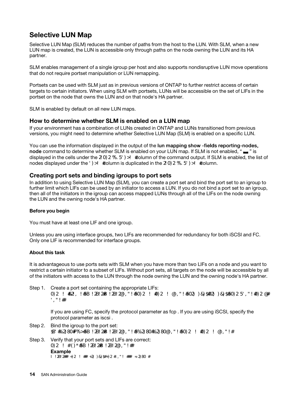# <span id="page-17-0"></span>Selective LUN Map

Selective LUN Map (SLM) reduces the number of paths from the host to the LUN. With SLM, when a new LUN map is created, the LUN is accessible only through paths on the node owning the LUN and its HA partner.

SLM enables management of a single igroup per host and also supports nondisruptive LUN move operations that do not require portset manipulation or LUN remapping.

Portsets can be used with SLM just as in previous versions of ONTAP to further restrict access of certain targets to certain initiators. When using SLM with portsets, LUNs will be accessible on the set of LIFs in the portset on the node that owns the LUN and on that node's HA partner.

SLM is enabled by default on all new LUN maps.

### How to determine whether SLM is enabled on a LUN map

If your environment has a combination of LUNs created in ONTAP and LUNs transitioned from previous versions, you might need to determine whether Selective LUN Map (SLM) is enabled on a specific LUN.

You can use the information displayed in the output of the lun mapping show -fields reporting-nodes, node command to determine whether SLM is enabled on your LUN map. If SLM is not enabled, " $\blacksquare$ " is displayed in the cells under the reporting-nodes column of the command output. If SLM is enabled, the list of nodes displayed under the nodes column is duplicated in the reporting-nodes column.

### Creating port sets and binding igroups to port sets

In addition to using Selective LUN Map (SLM), you can create a port set and bind the port set to an igroup to further limit which LIFs can be used by an initiator to access a LUN. If you do not bind a port set to an igroup, then all of the initiators in the igroup can access mapped LUNs through all of the LIFs on the node owning the LUN and the owning node's HA partner.

### Before you begin

You must have at least one LIF and one igroup.

Unless you are using interface groups, two LIFs are recommended for redundancy for both iSCSI and FC. Only one LIF is recommended for interface groups.

### About this task

It is advantageous to use ports sets with SLM when you have more than two LIFs on a node and you want to restrict a certain initiator to a subset of LIFs. Without port sets, all targets on the node will be accessible by all of the initiators with access to the LUN through the node owning the LUN and the owning node's HA partner.

Step 1. Create a port set containing the appropriate LIFs: portset create -vserver vserver\_name -portset portset\_name -protocol protocol -port-name port\_ name

If you are using FC, specify the protocol parameter as fcp . If you are using iSCSI, specify the protocol parameter as iscsi .

- Step 2. Bind the igroup to the port set: lun igroup bind -vserver vserver\_name -igroup igroup\_name -portset portset\_name
- Step 3. Verify that your port sets and LIFs are correct: portset show-vserver vserver name **Example** Vserver Portset Protocol Port Names Igroups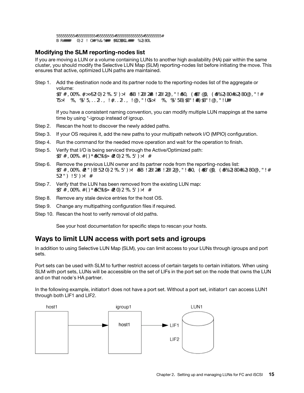--------- --------- -------- ------------- ------- vs3 portset0 iscsi lif0,lif1 igroup1

### Modifying the SLM reporting-nodes list

If you are moving a LUN or a volume containing LUNs to another high availability (HA) pair within the same cluster, you should modify the Selective LUN Map (SLM) reporting-nodes list before initiating the move. This ensures that active, optimized LUN paths are maintained.

Step 1. Add the destination node and its partner node to the reporting-nodes list of the aggregate or volume:

lun mapping add-reporting-nodes -vserver vserver\_name -path lun\_path -igroup igroup\_name [-destination-aggregate aggregate\_name|-destination-volume volume\_name]

If you have a consistent naming convention, you can modify multiple LUN mappings at the same time by using \*-igroup instead of igroup.

- Step 2. Rescan the host to discover the newly added paths.
- Step 3. If your OS requires it, add the new paths to your multipath network I/O (MPIO) configuration.
- Step 4. Run the command for the needed move operation and wait for the operation to finish.
- Step 5. Verify that I/O is being serviced through the Active/Optimized path: lun mapping show -fields reporting-nodes
- Step 6. Remove the previous LUN owner and its partner node from the reporting-nodes list: lun mapping remove-reporting-nodes -vserver vserver\_name -path lun\_path -igroup igroup\_name -remote-nodes
- Step 7. Verify that the LUN has been removed from the existing LUN map: lun mapping show -fields reporting-nodes
- Step 8. Remove any stale device entries for the host OS.
- Step 9. Change any multipathing configuration files if required.
- Step 10. Rescan the host to verify removal of old paths.

See your host documentation for specific steps to rescan your hosts.

# <span id="page-18-0"></span>Ways to limit LUN access with port sets and igroups

In addition to using Selective LUN Map (SLM), you can limit access to your LUNs through igroups and port sets.

Port sets can be used with SLM to further restrict access of certain targets to certain initiators. When using SLM with port sets, LUNs will be accessible on the set of LIFs in the port set on the node that owns the LUN and on that node's HA partner.

In the following example, initiator1 does not have a port set. Without a port set, initiator1 can access LUN1 through both LIF1 and LIF2.

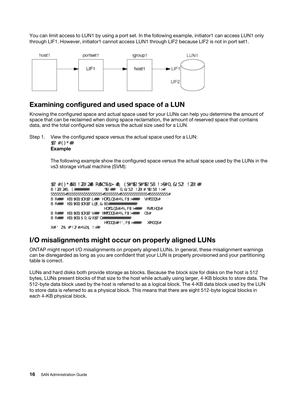You can limit access to LUN1 by using a port set. In the following example, initiator1 can access LUN1 only through LIF1. However, initiator1 cannot access LUN1 through LIF2 because LIF2 is not in port set1.



# <span id="page-19-0"></span>Examining configured and used space of a LUN

Knowing the configured space and actual space used for your LUNs can help you determine the amount of space that can be reclaimed when doing space reclamation, the amount of reserved space that contains data, and the total configured size versus the actual size used for a LUN.

Step 1. View the configured space versus the actual space used for a LUN: lun show Example

> The following example show the configured space versus the actual space used by the LUNs in the vs3 storage virtual machine (SVM):

```
lun show -vserver vs3 -fields path, size, size-used, space-reserve 
vserver path size space-reserve size-used
------- ----------------- ------- ------------- --------- 
vs3 /vol/vol0/lun1 50.01GB disabled
vs3 /vol/vol0/lun1_backup
                       50.01GB disabled 32.15GB 
vs3 /vol/vol0/lun2 75.00GB disabled 0B 
vs3 /vol/volspace/lun0 
                        5.00GB enabled 4.50GB 
4 entries were displayed.
```
### <span id="page-19-1"></span>I/O misalignments might occur on properly aligned LUNs

ONTAP might report I/O misalignments on properly aligned LUNs. In general, these misalignment warnings can be disregarded as long as you are confident that your LUN is properly provisioned and your partitioning table is correct.

LUNs and hard disks both provide storage as blocks. Because the block size for disks on the host is 512 bytes, LUNs present blocks of that size to the host while actually using larger, 4-KB blocks to store data. The 512-byte data block used by the host is referred to as a logical block. The 4-KB data block used by the LUN to store data is referred to as a physical block. This means that there are eight 512-byte logical blocks in each 4-KB physical block.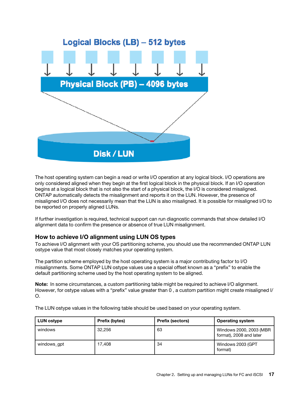The host operating system can begin a read or write I/O operation at any logical block. I/O operations are only considered aligned when they begin at the first logical block in the physical block. If an I/O operation begins at a logical block that is not also the start of a physical block, the I/O is considered misaligned. ONTAP automatically detects the misalignment and reports it on the LUN. However, the presence of misaligned I/O does not necessarily mean that the LUN is also misaligned. It is possible for misaligned I/O to be reported on properly aligned LUNs.

If further investigation is required, technical support can run diagnostic commands that show detailed I/O alignment data to confirm the presence or absence of true LUN misalignment.

### How to achieve I/O alignment using LUN OS types

To achieve I/O alignment with your OS partitioning scheme, you should use the recommended ONTAP LUN ostype value that most closely matches your operating system.

The partition scheme employed by the host operating system is a major contributing factor to I/O misalignments. Some ONTAP LUN ostype values use a special offset known as a "prefix" to enable the default partitioning scheme used by the host operating system to be aligned.

Note: In some circumstances, a custom partitioning table might be required to achieve I/O alignment. However, for ostype values with a "prefix" value greater than 0 , a custom partition might create misaligned I/ O.

The LUN ostype values in the following table should be used based on your operating system.

| <b>LUN ostype</b> | Prefix (bytes) | <b>Prefix (sectors)</b> | <b>Operating system</b>                            |
|-------------------|----------------|-------------------------|----------------------------------------------------|
| windows           | 32.256         | 63                      | Windows 2000, 2003 (MBR<br>format), 2008 and later |
| windows apt       | 17.408         | 34                      | Windows 2003 (GPT<br>format)                       |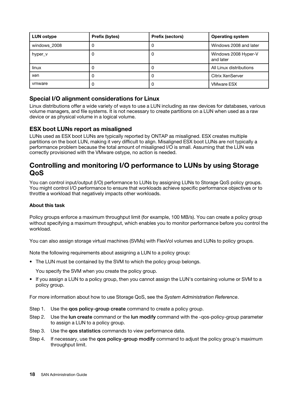| <b>LUN ostype</b> | Prefix (bytes) | <b>Prefix (sectors)</b> | <b>Operating system</b>           |
|-------------------|----------------|-------------------------|-----------------------------------|
| windows 2008      | υ              | 0                       | Windows 2008 and later            |
| hyper_v           | U              | 0                       | Windows 2008 Hyper-V<br>and later |
| linux             |                | 0                       | All Linux distributions           |
| xen               |                | 0                       | Citrix XenServer                  |
| ymware            |                | 0                       | <b>VMware ESX</b>                 |

### Special I/O alignment considerations for Linux

Linux distributions offer a wide variety of ways to use a LUN including as raw devices for databases, various volume managers, and file systems. It is not necessary to create partitions on a LUN when used as a raw device or as physical volume in a logical volume.

### ESX boot LUNs report as misaligned

LUNs used as ESX boot LUNs are typically reported by ONTAP as misaligned. ESX creates multiple partitions on the boot LUN, making it very difficult to align. Misaligned ESX boot LUNs are not typically a performance problem because the total amount of misaligned I/O is small. Assuming that the LUN was correctly provisioned with the VMware ostype, no action is needed.

### <span id="page-21-0"></span>Controlling and monitoring I/O performance to LUNs by using Storage QoS

You can control input/output (I/O) performance to LUNs by assigning LUNs to Storage QoS policy groups. You might control I/O performance to ensure that workloads achieve specific performance objectives or to throttle a workload that negatively impacts other workloads.

### About this task

Policy groups enforce a maximum throughput limit (for example, 100 MB/s). You can create a policy group without specifying a maximum throughput, which enables you to monitor performance before you control the workload.

You can also assign storage virtual machines (SVMs) with FlexVol volumes and LUNs to policy groups.

Note the following requirements about assigning a LUN to a policy group:

• The LUN must be contained by the SVM to which the policy group belongs.

You specify the SVM when you create the policy group.

• If you assign a LUN to a policy group, then you cannot assign the LUN's containing volume or SVM to a policy group.

For more information about how to use Storage QoS, see the *System Administration Reference*.

- Step 1. Use the gos policy-group create command to create a policy group.
- Step 2. Use the lun create command or the lun modify command with the -qos-policy-group parameter to assign a LUN to a policy group.
- Step 3. Use the **qos statistics** commands to view performance data.
- Step 4. If necessary, use the gos policy-group modify command to adjust the policy group's maximum throughput limit.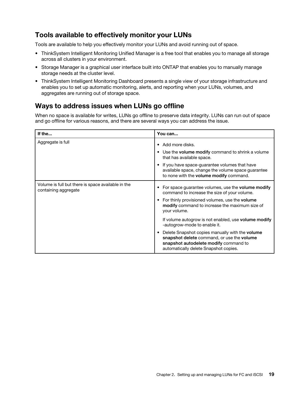# <span id="page-22-0"></span>Tools available to effectively monitor your LUNs

Tools are available to help you effectively monitor your LUNs and avoid running out of space.

- ThinkSystem Intelligent Monitoring Unified Manager is a free tool that enables you to manage all storage across all clusters in your environment.
- Storage Manager is a graphical user interface built into ONTAP that enables you to manually manage storage needs at the cluster level.
- ThinkSystem Intelligent Monitoring Dashboard presents a single view of your storage infrastructure and enables you to set up automatic monitoring, alerts, and reporting when your LUNs, volumes, and aggregates are running out of storage space.

# <span id="page-22-1"></span>Ways to address issues when LUNs go offline

When no space is available for writes, LUNs go offline to preserve data integrity. LUNs can run out of space and go offline for various reasons, and there are several ways you can address the issue.

| If the                                                                     | You can                                                                                                                                                                                                                                                                                    |
|----------------------------------------------------------------------------|--------------------------------------------------------------------------------------------------------------------------------------------------------------------------------------------------------------------------------------------------------------------------------------------|
| Aggregate is full                                                          | • Add more disks.<br>• Use the volume modify command to shrink a volume<br>that has available space.<br>If you have space-guarantee volumes that have<br>available space, change the volume space guarantee<br>to none with the volume modify command.                                     |
| Volume is full but there is space available in the<br>containing aggregate | For space guarantee volumes, use the <b>volume modify</b><br>command to increase the size of your volume.<br>For thinly provisioned volumes, use the <b>volume</b><br>٠<br>modify command to increase the maximum size of<br>your volume.                                                  |
|                                                                            | If volume autogrow is not enabled, use <b>volume modify</b><br>-autogrow-mode to enable it.<br>Delete Snapshot copies manually with the <b>volume</b><br>٠<br>snapshot delete command, or use the volume<br>snapshot autodelete modify command to<br>automatically delete Snapshot copies. |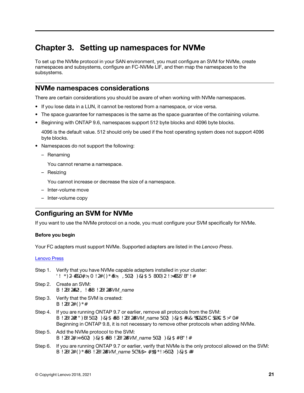# <span id="page-24-0"></span>Chapter 3. Setting up namespaces for NVMe

To set up the NVMe protocol in your SAN environment, you must configure an SVM for NVMe, create namespaces and subsystems, configure an FC-NVMe LIF, and then map the namespaces to the subsystems.

### <span id="page-24-1"></span>NVMe namespaces considerations

There are certain considerations you should be aware of when working with NVMe namespaces.

- If you lose data in a LUN, it cannot be restored from a namespace, or vice versa.
- The space guarantee for namespaces is the same as the space guarantee of the containing volume.
- Beginning with ONTAP 9.6, namespaces support 512 byte blocks and 4096 byte blocks.

4096 is the default value. 512 should only be used if the host operating system does not support 4096 byte blocks.

- Namespaces do not support the following:
	- Renaming

You cannot rename a namespace.

– Resizing

You cannot increase or decrease the size of a namespace.

- Inter-volume move
- <span id="page-24-2"></span>– Inter-volume copy

# Configuring an SVM for NVMe

If you want to use the NVMe protocol on a node, you must configure your SVM specifically for NVMe.

### Before you begin

Your FC adapters must support NVMe. Supported adapters are listed in the *Lenovo Press*.

#### Lenovo Press

- Step 1. Verify that you have NVMe capable adapters installed in your cluster: net work fcp adapter show-data-protocols-supported fc-nvme
- Step 2. Create an SVM: vserver create -vserver *SVM\_name*
- Step 3. Verify that the SVM is created: vserver show
- Step 4. If you are running ONTAP 9.7 or earlier, remove all protocols from the SVM: vserver remove-protocols -vserver *SVM\_name* -protocols iscsi,fcp,nfs,cifs,ndmp Beginning in ONTAP 9.8, it is not necessary to remove other protocols when adding NVMe.
- Step 5. Add the NVMe protocol to the SVM: vserver add-protocols -vserver *SVM\_name* -protocols nvme
- Step 6. If you are running ONTAP 9.7 or earlier, verify that NVMe is the only protocol allowed on the SVM: vserver show -vserver *SVM\_name* -fields allowed-protocols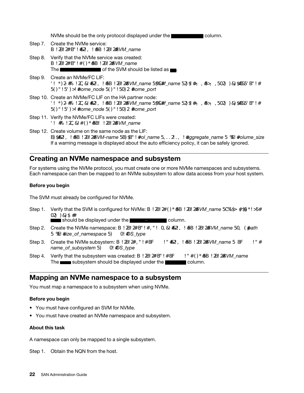NVMe should be the only protocol displayed under the column.

- Step 7. Create the NVMe service: vserver nvme create -vserver *SVM\_name*
- Step 8. Verify that the NVMe service was created: vserver nvme show- vserver *SVM\_name* The **of the SVM** should be listed as  $\blacksquare$ .
- Step 9. Create an NVMe/FC LIF: network interface create -vserver *SVM\_name* -lif *lif\_name* -role data -data-protocol fc-nvme -home-node *home\_node* -home-port *home\_port*
- Step 10. Create an NVMe/FC LIF on the HA partner node: network interface create -vserver *SVM\_name* -lif *lif\_name* -role data -data-protocol fc-nvme -home-node *home\_node* -home-port *home\_port*
- Step 11. Verify the NVMe/FC LIFs were created: net interface show -veserver *SVM\_name*
- Step 12. Create volume on the same node as the LIF: vol create -vserver *SVM-name* -volume *vol\_name* -aggregate *aggregate\_name* -size *volume\_size*  If a warning message is displayed about the auto efficiency policy, it can be safely ignored.

### <span id="page-25-0"></span>Creating an NVMe namespace and subsystem

For systems using the NVMe protocol, you must create one or more NVMe namespaces and subsystems. Each namespace can then be mapped to an NVMe subsystem to allow data access from your host system.

### Before you begin

The SVM must already be configured for NVMe.

Step 1. Verify that the SVM is configured for NVMe: vserver show-vserver SVM name - fields allowedprotocols

should be displayed under the  $\Box$   $\Box$   $\Box$   $\Box$   $\Box$  column.

- Step 2. Create the NVMe namespace: vserver nvme namespace create -vserver *SVM\_name* -path *path*  -size *size\_of\_namespace* -ostype *OS\_type*
- Step 3. Create the NVMe subsystem: vserver name subsystem create -vserver *SVM\_name* -subsystem *name\_of\_subsystem* -ostype *OS\_type*
- Step 4. Verify that the subsystem was created: vserver nvme subsystem show -vserver *SVM\_name*  The subsystem should be displayed under the column.

### <span id="page-25-1"></span>Mapping an NVMe namespace to a subsystem

You must map a namespace to a subsystem when using NVMe.

### Before you begin

- You must have configured an SVM for NVMe.
- You must have created an NVMe namespace and subsystem.

### About this task

A namespace can only be mapped to a single subsystem.

Step 1. Obtain the NQN from the host.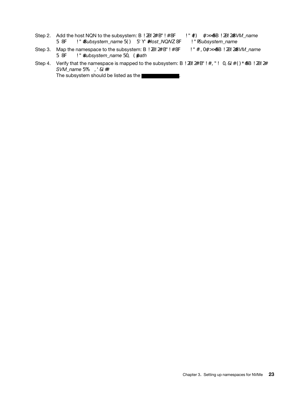- Step 2. Add the host NQN to the subsystem: vserver nvme subsystem host add -vserver *SVM\_name*  -subsystem *Subsystem\_name* -host-nqn *Host\_NQN*:subsystem.*Subsystem\_name*
- Step 3. Map the namespace to the subsystem: vserver nvme subsystem map add -vserver *SVM\_name*  -subsystem *subsystem\_name* -path *path*
- Step 4. Verify that the namespace is mapped to the subsystem: vserver nvme namespace show -vserver *SVM\_name* -instance The subsystem should be listed as the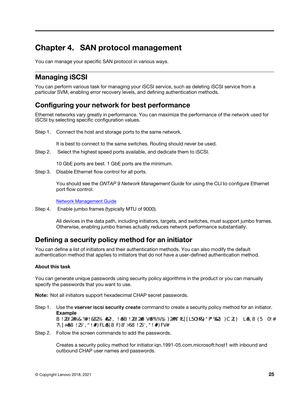# <span id="page-28-0"></span>Chapter 4. SAN protocol management

<span id="page-28-1"></span>You can manage your specific SAN protocol in various ways.

# Managing iSCSI

You can perform various task for managing your iSCSI service, such as deleting iSCSI service from a particular SVM, enabling error recovery levels, and defining authentication methods.

### <span id="page-28-2"></span>Configuring your network for best performance

Ethernet networks vary greatly in performance. You can maximize the performance of the network used for iSCSI by selecting specific configuration values.

Step 1. Connect the host and storage ports to the same network.

It is best to connect to the same switches. Routing should never be used.

Step 2. Select the highest speed ports available, and dedicate them to iSCSI.

10 GbE ports are best. 1 GbE ports are the minimum.

Step 3. Disable Ethernet flow control for all ports.

You should see the *ONTAP 9 Network Management Guide* for using the CLI to configure Ethernet port flow control.

Network Management Guide

Step 4. Enable jumbo frames (typically MTU of 9000).

All devices in the data path, including initiators, targets, and switches, must support jumbo frames. Otherwise, enabling jumbo frames actually reduces network performance substantially.

# <span id="page-28-3"></span>Defining a security policy method for an initiator

You can define a list of initiators and their authentication methods. You can also modify the default authentication method that applies to initiators that do not have a user-defined authentication method.

### About this task

You can generate unique passwords using security policy algorithms in the product or you can manually specify the passwords that you want to use.

Note: Not all initiators support hexadecimal CHAP secret passwords.

Step 1. Use the vserver iscsi security create command to create a security policy method for an initiator. Example

vserver iscsi security create - vserver vs2 - initiator ign.1991-05.commicrosoft:host1 - auth-type CHAP -user-name bob1 -outbound-user-name bob2

Step 2. Follow the screen commands to add the passwords.

Creates a security policy method for initiator iqn.1991-05.com.microsoft:host1 with inbound and outbound CHAP user names and passwords.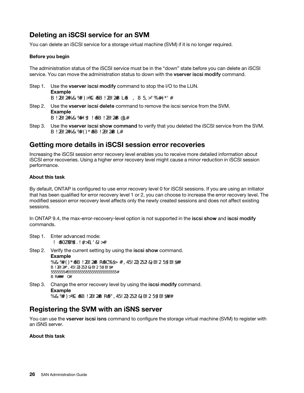# <span id="page-29-0"></span>Deleting an iSCSI service for an SVM

You can delete an iSCSI service for a storage virtual machine (SVM) if it is no longer required.

### Before you begin

The administration status of the iSCSI service must be in the "down" state before you can delete an iSCSI service. You can move the administration status to down with the vserver iscsi modify command.

- Step 1. Use the vserver iscsi modify command to stop the I/O to the LUN. Example vserver iscsi modify -vserver vs1 -status-admin down
- Step 2. Use the vserver iscsi delete command to remove the iscsi service from the SVM. Example vserver iscsi delete -vserver vs\_1
- Step 3. Use the **vserver iscsi show command** to verify that you deleted the iSCSI service from the SVM. vserver iscsi show-vserver vs1

### <span id="page-29-1"></span>Getting more details in iSCSI session error recoveries

Increasing the iSCSI session error recovery level enables you to receive more detailed information about iSCSI error recoveries. Using a higher error recovery level might cause a minor reduction in iSCSI session performance.

### About this task

By default, ONTAP is configured to use error recovery level 0 for iSCSI sessions. If you are using an initiator that has been qualified for error recovery level 1 or 2, you can choose to increase the error recovery level. The modified session error recovery level affects only the newly created sessions and does not affect existing sessions.

In ONTAP 9.4, the max-error-recovery-level option is not supported in the iscsi show and iscsi modify commands.

Step 1. Enter advanced mode: set -privilege advanced

Step 2. Verify the current setting by using the iscsi show command. Example iscsi show-vserver vs3-fields max-error-recovery-level vserver max-error-recovery-level ------- ----------------------- vs3 0

Step 3. Change the error recovery level by using the **iscsi modify** command. Example iscsi modify -vserver vs3 -max-error-recovery-level 2

### <span id="page-29-2"></span>Registering the SVM with an iSNS server

You can use the vserver iscsi isns command to configure the storage virtual machine (SVM) to register with an iSNS server.

### About this task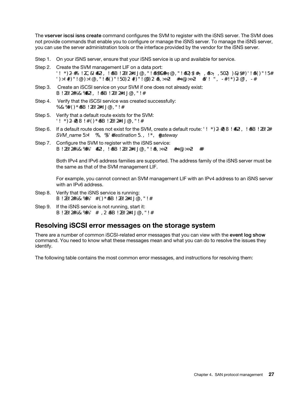The vserver iscsi isns create command configures the SVM to register with the iSNS server. The SVM does not provide commands that enable you to configure or manage the iSNS server. To manage the iSNS server, you can use the server administration tools or the interface provided by the vendor for the iSNS server.

Step 1. On your iSNS server, ensure that your iSNS service is up and available for service.

- Step 2. Create the SVM management LIF on a data port: net work interface create - vserver SVM\_name -lif LIF\_name - role data - data-protocol none - homenode home\_node\_name -home-port home\_port -address IP\_address -netmask nework\_mask
- Step 3. Create an iSCSI service on your SVM if one does not already exist: vserver iscsi create - vserver SVM\_name
- Step 4. Verify that the iSCSI service was created successfully: iscsi show-vserver SVM name
- Step 5. Verify that a default route exists for the SVM: net work route show-vserver SVM\_name
- Step 6. If a default route does not exist for the SVM, create a default route: network route create -vserver *SVM\_name* -destination *destination* -gateway *gateway*
- Step 7. Configure the SVM to register with the iSNS service: vserver iscsi isns create -vserver SVM\_name -address IP\_address

Both IPv4 and IPv6 address families are supported. The address family of the iSNS server must be the same as that of the SVM management LIF.

For example, you cannot connect an SVM management LIF with an IPv4 address to an iSNS server with an IPv6 address.

- Step 8. Verify that the iSNS service is running: vserver iscsi isns show-vserver SVM name
- Step 9. If the iSNS service is not running, start it: vserver iscsi isns start -vserver SVM\_name

### <span id="page-30-0"></span>Resolving iSCSI error messages on the storage system

There are a number of common iSCSI-related error messages that you can view with the event log show command. You need to know what these messages mean and what you can do to resolve the issues they identify.

The following table contains the most common error messages, and instructions for resolving them: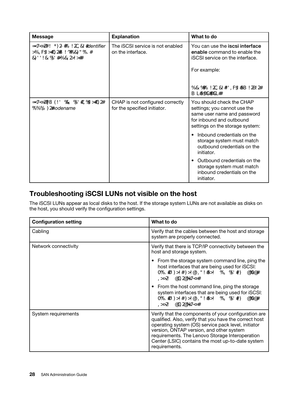| <b>Message</b>                                                                                       | <b>Explanation</b>                                               | What to do                                                                                                                                              |
|------------------------------------------------------------------------------------------------------|------------------------------------------------------------------|---------------------------------------------------------------------------------------------------------------------------------------------------------|
| ISCSI: net work interface <i>identifier</i><br>disabled for use; incoming<br>connect i on di scarded | The iSCSI service is not enabled<br>on the interface.            | You can use the iscsi interface<br>enable command to enable the<br><b>iSCSI</b> service on the interface.                                               |
|                                                                                                      |                                                                  | For example:                                                                                                                                            |
|                                                                                                      |                                                                  | iscsi interface enable - vserver<br>vs1-lif lif1                                                                                                        |
| ISCSI: Authentication failed for<br>initiator nodename                                               | CHAP is not configured correctly<br>for the specified initiator. | You should check the CHAP<br>settings; you cannot use the<br>same user name and password<br>for inbound and outbound<br>settings on the storage system: |
|                                                                                                      |                                                                  | Inbound credentials on the<br>storage system must match<br>outbound credentials on the<br>initiator.                                                    |
|                                                                                                      |                                                                  | Outbound credentials on the<br>storage system must match<br>inbound credentials on the<br>initiator.                                                    |

# <span id="page-31-0"></span>Troubleshooting iSCSI LUNs not visible on the host

The iSCSI LUNs appear as local disks to the host. If the storage system LUNs are not available as disks on the host, you should verify the configuration settings.

| <b>Configuration setting</b> | What to do                                                                                                                                                                                                                                                                                                                                 |
|------------------------------|--------------------------------------------------------------------------------------------------------------------------------------------------------------------------------------------------------------------------------------------------------------------------------------------------------------------------------------------|
| Cabling                      | Verify that the cables between the host and storage<br>system are properly connected.                                                                                                                                                                                                                                                      |
| Network connectivity         | Verify that there is TCP/IP connectivity between the<br>host and storage system.                                                                                                                                                                                                                                                           |
|                              | From the storage system command line, ping the<br>$\bullet$<br>host interfaces that are being used for iSCSI:<br>ping-node node_name - destination host_ip_<br>address_for_iSCSI                                                                                                                                                           |
|                              | From the host command line, ping the storage<br>system interfaces that are being used for iSCSI:<br>ping-node node_name-destination host_ip_<br>address_for_iSCSI                                                                                                                                                                          |
| System requirements          | Verify that the components of your configuration are<br>qualified. Also, verify that you have the correct host<br>operating system (OS) service pack level, initiator<br>version, ONTAP version, and other system<br>requirements. The Lenovo Storage Interoperation<br>Center (LSIC) contains the most up-to-date system<br>requirements. |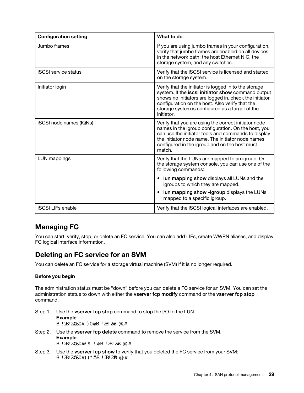| <b>Configuration setting</b> | What to do                                                                                                                                                                                                                                                                                |
|------------------------------|-------------------------------------------------------------------------------------------------------------------------------------------------------------------------------------------------------------------------------------------------------------------------------------------|
| Jumbo frames                 | If you are using jumbo frames in your configuration,<br>verify that jumbo frames are enabled on all devices<br>in the network path: the host Ethernet NIC, the<br>storage system, and any switches.                                                                                       |
| <b>iSCSI</b> service status  | Verify that the iSCSI service is licensed and started<br>on the storage system.                                                                                                                                                                                                           |
| Initiator login              | Verify that the initiator is logged in to the storage<br>system. If the iscsi initiator show command output<br>shows no initiators are logged in, check the initiator<br>configuration on the host. Also verify that the<br>storage system is configured as a target of the<br>initiator. |
| iSCSI node names (IQNs)      | Verify that you are using the correct initiator node<br>names in the igroup configuration. On the host, you<br>can use the initiator tools and commands to display<br>the initiator node name. The initiator node names<br>configured in the igroup and on the host must<br>match.        |
| LUN mappings                 | Verify that the LUNs are mapped to an igroup. On<br>the storage system console, you can use one of the<br>following commands:                                                                                                                                                             |
|                              | <b>Iun mapping show</b> displays all LUNs and the<br>$\bullet$<br>igroups to which they are mapped.                                                                                                                                                                                       |
|                              | lun mapping show -igroup displays the LUNs<br>$\bullet$<br>mapped to a specific igroup.                                                                                                                                                                                                   |
| <b>iSCSI LIFs enable</b>     | Verify that the iSCSI logical interfaces are enabled.                                                                                                                                                                                                                                     |

# <span id="page-32-0"></span>Managing FC

You can start, verify, stop, or delete an FC service. You can also add LIFs, create WWPN aliases, and display FC logical interface information.

# <span id="page-32-1"></span>Deleting an FC service for an SVM

You can delete an FC service for a storage virtual machine (SVM) if it is no longer required.

### Before you begin

The administration status must be "down" before you can delete a FC service for an SVM. You can set the administration status to down with either the vserver fcp modify command or the vserver fcp stop command.

- Step 1. Use the vserver fcp stop command to stop the I/O to the LUN. Example vserver fcp stop -vserver vs\_1
- Step 2. Use the vserver fcp delete command to remove the service from the SVM. Example vserver fcp delete -vserver vs\_1
- Step 3. Use the vserver fcp show to verify that you deleted the FC service from your SVM: vserver fcp show- vserver vs\_1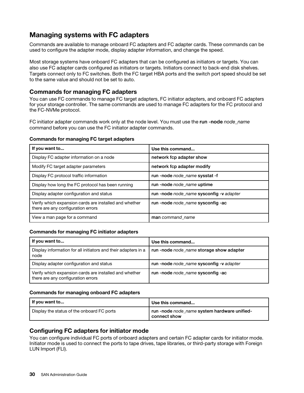# <span id="page-33-0"></span>Managing systems with FC adapters

Commands are available to manage onboard FC adapters and FC adapter cards. These commands can be used to configure the adapter mode, display adapter information, and change the speed.

Most storage systems have onboard FC adapters that can be configured as initiators or targets. You can also use FC adapter cards configured as initiators or targets. Initiators connect to back-end disk shelves. Targets connect only to FC switches. Both the FC target HBA ports and the switch port speed should be set to the same value and should not be set to auto.

### Commands for managing FC adapters

You can use FC commands to manage FC target adapters, FC initiator adapters, and onboard FC adapters for your storage controller. The same commands are used to manage FC adapters for the FC protocol and the FC-NVMe protocol.

FC initiator adapter commands work only at the node level. You must use the run -node *node\_name*  command before you can use the FC initiator adapter commands.

### Commands for managing FC target adapters

| If you want to                                                                               | Use this command                         |
|----------------------------------------------------------------------------------------------|------------------------------------------|
| Display FC adapter information on a node                                                     | network fcp adapter show                 |
| Modify FC target adapter parameters                                                          | network fcp adapter modify               |
| Display FC protocol traffic information                                                      | run-node node name sysstat-f             |
| Display how long the FC protocol has been running                                            | run -node node name uptime               |
| Display adapter configuration and status                                                     | run -node node_name sysconfig -v adapter |
| Verify which expansion cards are installed and whether<br>there are any configuration errors | run -node node name sysconfig -ac        |
| View a man page for a command                                                                | man command name                         |

### Commands for managing FC initiator adapters

| If you want to                                                                               | Use this command                         |
|----------------------------------------------------------------------------------------------|------------------------------------------|
| Display information for all initiators and their adapters in a<br>node                       | run -node node name storage show adapter |
| Display adapter configuration and status                                                     | run -node node name sysconfig -v adapter |
| Verify which expansion cards are installed and whether<br>there are any configuration errors | run -node node name sysconfig -ac        |

### Commands for managing onboard FC adapters

| I If you want to                           | Use this command                                             |
|--------------------------------------------|--------------------------------------------------------------|
| Display the status of the onboard FC ports | 'run-node node_name system hardware unified-<br>connect show |

### Configuring FC adapters for initiator mode

You can configure individual FC ports of onboard adapters and certain FC adapter cards for initiator mode. Initiator mode is used to connect the ports to tape drives, tape libraries, or third-party storage with Foreign LUN Import (FLI).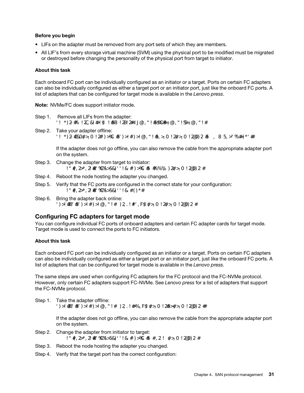### Before you begin

- LIFs on the adapter must be removed from any port sets of which they are members.
- All LIF's from every storage virtual machine (SVM) using the physical port to be modified must be migrated or destroyed before changing the personality of the physical port from target to initiator.

### About this task

Each onboard FC port can be individually configured as an initiator or a target. Ports on certain FC adapters can also be individually configured as either a target port or an initiator port, just like the onboard FC ports. A list of adapters that can be configured for target mode is available in the *Lenovo press*.

Note: NVMe/FC does support initiator mode.

- Step 1. Remove all LIFs from the adapter: network interface delete - vserver SVM\_name - lif UF\_name, UF\_name
- Step 2. Take your adapter offline: network fcp adapter modify -node node\_name -adapter adapter\_port -status-admin down

If the adapter does not go offline, you can also remove the cable from the appropriate adapter port on the system.

- Step 3. Change the adapter from target to initiator: system hardware unified-connect modify -t initiator adapter\_port
- Step 4. Reboot the node hosting the adapter you changed.
- Step 5. Verify that the FC ports are configured in the correct state for your configuration: system hardware unified-connect show
- Step 6. Bring the adapter back online: node run -node node\_name storage enable adapter adapter\_port

### Configuring FC adapters for target mode

You can configure individual FC ports of onboard adapters and certain FC adapter cards for target mode. Target mode is used to connect the ports to FC initiators.

### About this task

Each onboard FC port can be individually configured as an initiator or a target. Ports on certain FC adapters can also be individually configured as either a target port or an initiator port, just like the onboard FC ports. A list of adapters that can be configured for target mode is available in the *Lenovo press*.

The same steps are used when configuring FC adapters for the FC protocol and the FC-NVMe protocol. However, only certain FC adapters support FC-NVMe. See *Lenovo press* for a list of adapters that support the FC-NVMe protocol.

Step 1. Take the adapter offline: node run -node node\_name storage disable adapter -d adapter\_port

> If the adapter does not go offline, you can also remove the cable from the appropriate adapter port on the system.

- Step 2. Change the adapter from initiator to target: system hardware unified-connect modify -t target adapter\_port
- Step 3. Reboot the node hosting the adapter you changed.
- Step 4. Verify that the target port has the correct configuration: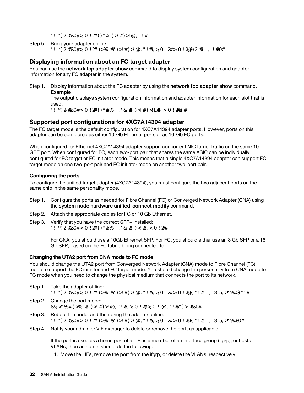net work fcp adapter show- node node\_name

Step 5. Bring your adapter online: network fcp adapter modify -node node\_name -adapter adapter\_port -state up

### Displaying information about an FC target adapter

You can use the network fcp adapter show command to display system configuration and adapter information for any FC adapter in the system.

Step 1. Display information about the FC adapter by using the network fcp adapter show command. Example

The output displays system configuration information and adapter information for each slot that is used.

network fcp adapter show -instance -node node1 -adapter 0a

### Supported port configurations for 4XC7A14394 adapter

The FC target mode is the default configuration for 4XC7A14394 adapter ports. However, ports on this adapter can be configured as either 10-Gb Ethernet ports or as 16-Gb FC ports.

When configured for Ethernet 4XC7A14394 adapter support concurrent NIC target traffic on the same 10- GBE port. When configured for FC, each two-port pair that shares the same ASIC can be individually configured for FC target or FC initiator mode. This means that a single 4XC7A14394 adapter can support FC target mode on one two-port pair and FC initiator mode on another two-port pair.

### Configuring the ports

To configure the unified target adapter (4XC7A14394), you must configure the two adjacent ports on the same chip in the same personality mode.

- Step 1. Configure the ports as needed for Fibre Channel (FC) or Converged Network Adapter (CNA) using the system node hardware unified-connect modify command.
- Step 2. Attach the appropriate cables for FC or 10 Gb Ethernet.
- Step 3. Verify that you have the correct SFP+ installed: network fcp adapter show -instance -node -adapter

For CNA, you should use a 10Gb Ethernet SFP. For FC, you should either use an 8 Gb SFP or a 16 Gb SFP, based on the FC fabric being connected to.

### Changing the UTA2 port from CNA mode to FC mode

You should change the UTA2 port from Converged Network Adapter (CNA) mode to Fibre Channel (FC) mode to support the FC initiator and FC target mode. You should change the personality from CNA mode to FC mode when you need to change the physical medium that connects the port to its network.

- Step 1. Take the adapter offline: network fcp adapter modify -node node\_name -adapter adapter\_name -status-admin down
- Step 2. Change the port mode: ucadmin modify -node node\_name -adapter adapter\_name -mode fcp
- Step 3. Reboot the node, and then bring the adapter online: network fcp adapter modify -node node\_name -adapter adapter\_name -status-admin up
- Step 4. Notify your admin or VIF manager to delete or remove the port, as applicable:

If the port is used as a home port of a LIF, is a member of an interface group (ifgrp), or hosts VLANs, then an admin should do the following:

1. Move the LIFs, remove the port from the ifgrp, or delete the VLANs, respectively.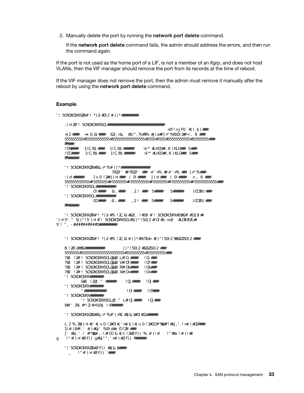2. Manually delete the port by running the network port delete command.

If the network port delete command fails, the admin should address the errors, and then run the command again.

If the port is not used as the home port of a LIF, is not a member of an ifgrp, and does not host VLANs, then the VIF manager should remove the port from its records at the time of reboot.

If the VIF manager does not remove the port, then the admin must remove it manually after the reboot by using the network port delete command.

#### Example

net-f8040-34::> network port show

Node: net-f8040-34-01 Speed(Mbps) Health Port IPspace Broadcast Domain Link MTU Admin/Oper Status --------- ------------ ---------------- ---- ---- ----------- -------- ... e0i Default Default down 1500 auto/10 e0f Default Default down 1500 auto/10 - ... net-f8040-34::> ucadmin show Current Current Pending Pending Admin Node Modapter Mode Type ------------ ------- ------- --------- ------- --------- ---------- net-f8040-34-01 cna target - - offline net-f8040-34-01 t8040-34-01<br>Of cna target - - offline ...

net-f8040-34::> network interface create -vs net-f8040-34 -lif m -role node-mgmt-home-node net-f8040-34-01 -home-port e0e -address 10.1.1.1 -netmask 255.255.255.0

net-f8040-34::> network interface show -fields home-port, curr-port

| vserver lif                                                                                                                                                         | home-port curr-port |                                              |
|---------------------------------------------------------------------------------------------------------------------------------------------------------------------|---------------------|----------------------------------------------|
| Cluster net-f8040-34-01 clus1 e0a<br>Cluster net-f8040-34-01 clus2 e0b<br>Cluster net-f8040-34-01 clus3 e0c<br>Cluster net-f8040-34-01 clus4 e0d<br>net - f 8040-34 |                     | еOа<br>$e$ C $b$<br>$e$ Oc<br>e <sub>0</sub> |
| cluster_mgmt                                                                                                                                                        | eOM                 | eOM                                          |
| net - f 8040-34<br>m                                                                                                                                                | $e$ Oe              | eQi                                          |
| net - f 8040-34                                                                                                                                                     |                     |                                              |
| net-f8040-34-01_mgmt1 e0M<br>7 entries were displayed.                                                                                                              |                     | eOM                                          |

net-f8040-34::> ucadmin modify local 0e fc

Varning: Mode on adapter Oe and also adapter Of will be changed to fc. Do you want to continue? {y|n}: y Any changes will take effect after rebooting the system. Use the "system node reboot" command to reboot.

net-f8040-34::> reboot local (system node reboot)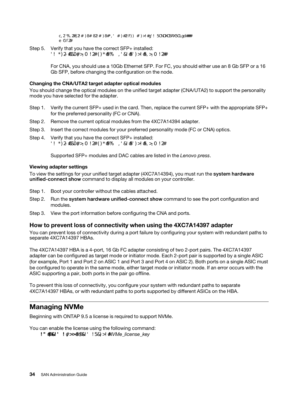Warning: Are you sure you want to reboot node "net-f8040-34-01"? {y|n}: y

Step 5. Verify that you have the correct SFP+ installed: net work fcp adapter show- instance - node - adapter

> For CNA, you should use a 10Gb Ethernet SFP. For FC, you should either use an 8 Gb SFP or a 16 Gb SFP, before changing the configuration on the node.

#### Changing the CNA/UTA2 target adapter optical modules

You should change the optical modules on the unified target adapter (CNA/UTA2) to support the personality mode you have selected for the adapter.

- Step 1. Verify the current SFP+ used in the card. Then, replace the current SFP+ with the appropriate SFP+ for the preferred personality (FC or CNA).
- Step 2. Remove the current optical modules from the 4XC7A14394 adapter.
- Step 3. Insert the correct modules for your preferred personality mode (FC or CNA) optics.
- Step 4. Verify that you have the correct SFP+ installed: network fcp adapter show -instance -node -adapter

Supported SFP+ modules and DAC cables are listed in the *Lenovo press*.

#### Viewing adapter settings

To view the settings for your unified target adapter (4XC7A14394), you must run the system hardware unified-connect show command to display all modules on your controller.

- Step 1. Boot your controller without the cables attached.
- Step 2. Run the system hardware unified-connect show command to see the port configuration and modules.
- Step 3. View the port information before configuring the CNA and ports.

#### How to prevent loss of connectivity when using the 4XC7A14397 adapter

You can prevent loss of connectivity during a port failure by configuring your system with redundant paths to separate 4XC7A14397 HBAs.

The 4XC7A14397 HBA is a 4-port, 16 Gb FC adapter consisting of two 2-port pairs. The 4XC7A14397 adapter can be configured as target mode or initiator mode. Each 2-port pair is supported by a single ASIC (for example, Port 1 and Port 2 on ASIC 1 and Port 3 and Port 4 on ASIC 2). Both ports on a single ASIC must be configured to operate in the same mode, either target mode or initiator mode. If an error occurs with the ASIC supporting a pair, both ports in the pair go offline.

To prevent this loss of connectivity, you configure your system with redundant paths to separate 4XC7A14397 HBAs, or with redundant paths to ports supported by different ASICs on the HBA.

## Managing NVMe

Beginning with ONTAP 9.5 a license is required to support NVMe.

You can enable the license using the following command: system license add -license-code *NVMe\_license\_key*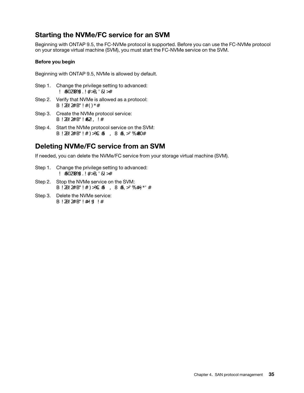# Starting the NVMe/FC service for an SVM

Beginning with ONTAP 9.5, the FC-NVMe protocol is supported. Before you can use the FC-NVMe protocol on your storage virtual machine (SVM), you must start the FC-NVMe service on the SVM.

#### Before you begin

Beginning with ONTAP 9.5, NVMe is allowed by default.

- Step 1. Change the privilege setting to advanced: set -privilege advanced
- Step 2. Verify that NVMe is allowed as a protocol: vserver nvme show
- Step 3. Create the NVMe protocol service: vserver nvme create
- Step 4. Start the NVMe protocol service on the SVM: vserver nvme modify -status -admin up

## Deleting NVMe/FC service from an SVM

If needed, you can delete the NVMe/FC service from your storage virtual machine (SVM).

- Step 1. Change the privilege setting to advanced: set -privilege advanced
- Step 2. Stop the NVMe service on the SVM: vserver nvme modify -status -admin down
- Step 3. Delete the NVMe service: vserver nvme delete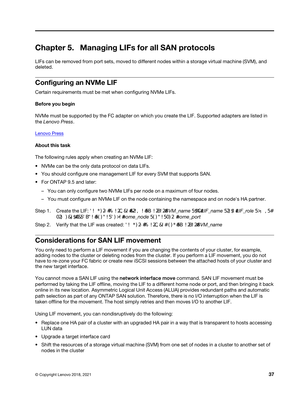# Chapter 5. Managing LIFs for all SAN protocols

LIFs can be removed from port sets, moved to different nodes within a storage virtual machine (SVM), and deleted.

## Configuring an NVMe LIF

Certain requirements must be met when configuring NVMe LIFs.

#### Before you begin

NVMe must be supported by the FC adapter on which you create the LIF. Supported adapters are listed in the *Lenovo Press*.

#### Lenovo Press

#### About this task

The following rules apply when creating an NVMe LIF:

- NVMe can be the only data protocol on data LIFs.
- You should configure one management LIF for every SVM that supports SAN.
- For ONTAP 9.5 and later:
	- You can only configure two NVMe LIFs per node on a maximum of four nodes.
	- You must configure an NVMe LIF on the node containing the namespace and on node's HA partner.
- Step 1. Create the LIF: network interface create -vserver *SVM\_name* -lif *LIF\_name* -role *LIF\_role* -dataprotocol fc-nvme -home-node *home\_node* -home-port *home\_port*
- Step 2. Verify that the LIF was created: net work interface show-vserver *SVM* name

## Considerations for SAN LIF movement

You only need to perform a LIF movement if you are changing the contents of your cluster, for example, adding nodes to the cluster or deleting nodes from the cluster. If you perform a LIF movement, you do not have to re-zone your FC fabric or create new iSCSI sessions between the attached hosts of your cluster and the new target interface.

You cannot move a SAN LIF using the network interface move command. SAN LIF movement must be performed by taking the LIF offline, moving the LIF to a different home node or port, and then bringing it back online in its new location. Asymmetric Logical Unit Access (ALUA) provides redundant paths and automatic path selection as part of any ONTAP SAN solution. Therefore, there is no I/O interruption when the LIF is taken offline for the movement. The host simply retries and then moves I/O to another LIF.

Using LIF movement, you can nondisruptively do the following:

- Replace one HA pair of a cluster with an upgraded HA pair in a way that is transparent to hosts accessing LUN data
- Upgrade a target interface card
- Shift the resources of a storage virtual machine (SVM) from one set of nodes in a cluster to another set of nodes in the cluster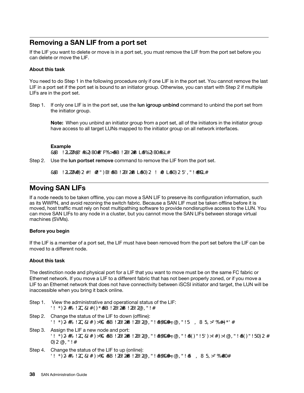## Removing a SAN LIF from a port set

If the LIF you want to delete or move is in a port set, you must remove the LIF from the port set before you can delete or move the LIF.

#### About this task

You need to do Step 1 in the following procedure only if one LIF is in the port set. You cannot remove the last LIF in a port set if the port set is bound to an initiator group. Otherwise, you can start with Step 2 if multiple LIFs are in the port set.

Step 1. If only one LIF is in the port set, use the lun igroup unbind command to unbind the port set from the initiator group.

**Note:** When you unbind an initiator group from a port set, all of the initiators in the initiator group have access to all target LUNs mapped to the initiator group on all network interfaces.

#### Example

cluster1::>lun igroup unbind -vserver vs1 -igroup ig1

Step 2. Use the lun portset remove command to remove the LIF from the port set.

cluster1::> port set remove -vserver vs1 -portset ps1 -port-name lif1

## Moving SAN LIFs

If a node needs to be taken offline, you can move a SAN LIF to preserve its configuration information, such as its WWPN, and avoid rezoning the switch fabric. Because a SAN LIF must be taken offline before it is moved, host traffic must rely on host multipathing software to provide nondisruptive access to the LUN. You can move SAN LIFs to any node in a cluster, but you cannot move the SAN LIFs between storage virtual machines (SVMs).

#### Before you begin

If the LIF is a member of a port set, the LIF must have been removed from the port set before the LIF can be moved to a different node.

#### About this task

The destinction node and physical port for a LIF that you want to move must be on the same FC fabric or Ethernet network. If you move a LIF to a different fabric that has not been properly zoned, or if you move a LIF to an Ethernet network that does not have connectivity between iSCSI initiator and target, the LUN will be inaccessible when you bring it back online.

- Step 1. View the administrative and operational status of the LIF: net work interface show-vserver vserver\_name
- Step 2. Change the status of the LIF to down (offline): network interface modify -vserver vserver name -lif LIF name-status-admin down
- Step 3. Assign the LIF a new node and port: network interface modify -vserver vserver\_name -lif LIF\_name -home-node node\_name -home-port port\_name
- Step 4. Change the status of the LIF to up (online): net work interface modify - vserver vserver name -lif LIF name -status-admin up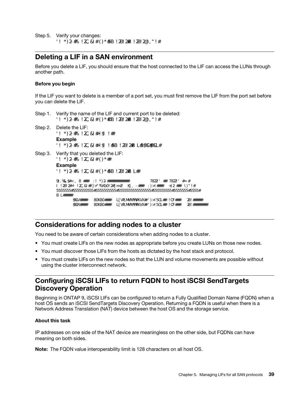Step 5. Verify your changes: net work interface show-vserver vserver\_name

## Deleting a LIF in a SAN environment

Before you delete a LIF, you should ensure that the host connected to the LIF can access the LUNs through another path.

#### Before you begin

If the LIF you want to delete is a member of a port set, you must first remove the LIF from the port set before you can delete the LIF.

- Step 1. Verify the name of the LIF and current port to be deleted: net work interface show-vserver vserver\_name
- Step 2. Delete the LIF: network interface delete Example network interface delete -vserver vs1 -lif lif1
- Step 3. Verify that you deleted the LIF: network interface show Example net work interface show-vserver vs1

| Logical Status |              | Net work       | Vserver Interface Admin/Oper Address/Mask          | Current<br><b>Node</b> | Current Is<br>Port | <b>Home</b> |
|----------------|--------------|----------------|----------------------------------------------------|------------------------|--------------------|-------------|
| vs1            | lif2<br>lif3 | up/up<br>up/up | 192.168.2.72/24 node-01<br>192.168.2.73/24 node-01 |                        | $e$ Ch<br>A        | true<br>tne |

## Considerations for adding nodes to a cluster

You need to be aware of certain considerations when adding nodes to a cluster.

- You must create LIFs on the new nodes as appropriate before you create LUNs on those new nodes.
- You must discover those LIFs from the hosts as dictated by the host stack and protocol.
- You must create LIFs on the new nodes so that the LUN and volume movements are possible without using the cluster interconnect network.

## Configuring iSCSI LIFs to return FQDN to host iSCSI SendTargets Discovery Operation

Beginning in ONTAP 9, iSCSI LIFs can be configured to return a Fully Qualified Domain Name (FQDN) when a host OS sends an iSCSI SendTargets Discovery Operation. Returning a FQDN is useful when there is a Network Address Translation (NAT) device between the host OS and the storage service.

#### About this task

IP addresses on one side of the NAT device are meaningless on the other side, but FQDNs can have meaning on both sides.

Note: The FQDN value interoperability limit is 128 characters on all host OS.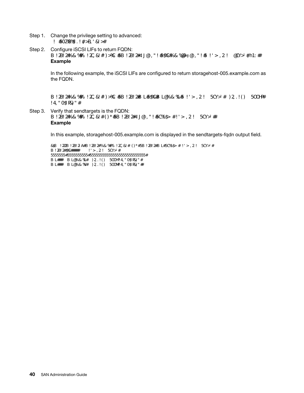- Step 1. Change the privilege setting to advanced: set -privilege advanced
- Step 2. Configure iSCSI LIFs to return FQDN: vserver iscsi interface modify -vserver SVM\_name -lif iscsi\_LIF\_name -sendtargets\_fqdn FQDN Example

In the following example, the iSCSI LIFs are configured to return storagehost-005.example.com as the FQDN.

vserver iscsi interface modify - vserver vs1 - lif vs1\_iscsi1 - sendtargets-fqdn storagehost-005. example.com

Step 3. Verify that sendtargets is the FQDN: vserver iscsi interface show-vserver SVM\_name - fields sendtargets-fqdn Example

In this example, storagehost-005.example.com is displayed in the sendtargets-fqdn output field.

cluster::vserver\*> vserver iscsi interface show -vserver vs1 -fields sendtargets-fqdn vserver lif sendtargets-fqdn ------- ---------- ---------------------------

vs1 vs1\_iscsi1 storagehost-005.example.com vs1 vs1\_iscsi2 storagehost-006.example.com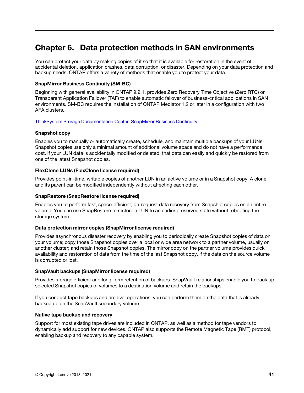# Chapter 6. Data protection methods in SAN environments

You can protect your data by making copies of it so that it is available for restoration in the event of accidental deletion, application crashes, data corruption, or disaster. Depending on your data protection and backup needs, ONTAP offers a variety of methods that enable you to protect your data.

#### SnapMirror Business Continuity (SM-BC)

Beginning with general availability in ONTAP 9.9.1, provides Zero Recovery Time Objective (Zero RTO) or Transparent Application Failover (TAF) to enable automatic failover of business-critical applications in SAN environments. SM-BC requires the installation of ONTAP Mediator 1.2 or later in a configuration with two AFA clusters.

#### ThinkSystem Storage Documentation Center: SnapMirror Business Continuity

#### Snapshot copy

Enables you to manually or automatically create, schedule, and maintain multiple backups of your LUNs. Snapshot copies use only a minimal amount of additional volume space and do not have a performance cost. If your LUN data is accidentally modified or deleted, that data can easily and quickly be restored from one of the latest Snapshot copies.

#### FlexClone LUNs (FlexClone license required)

Provides point-in-time, writable copies of another LUN in an active volume or in a Snapshot copy. A clone and its parent can be modified independently without affecting each other.

#### SnapRestore (SnapRestore license required)

Enables you to perform fast, space-efficient, on-request data recovery from Snapshot copies on an entire volume. You can use SnapRestore to restore a LUN to an earlier preserved state without rebooting the storage system.

#### Data protection mirror copies (SnapMirror license required)

Provides asynchronous disaster recovery by enabling you to periodically create Snapshot copies of data on your volume; copy those Snapshot copies over a local or wide area network to a partner volume, usually on another cluster; and retain those Snapshot copies. The mirror copy on the partner volume provides quick availability and restoration of data from the time of the last Snapshot copy, if the data on the source volume is corrupted or lost.

#### SnapVault backups (SnapMirror license required)

Provides storage efficient and long-term retention of backups. SnapVault relationships enable you to back up selected Snapshot copies of volumes to a destination volume and retain the backups.

If you conduct tape backups and archival operations, you can perform them on the data that is already backed up on the SnapVault secondary volume.

#### Native tape backup and recovery

Support for most existing tape drives are included in ONTAP, as well as a method for tape vendors to dynamically add support for new devices. ONTAP also supports the Remote Magnetic Tape (RMT) protocol, enabling backup and recovery to any capable system.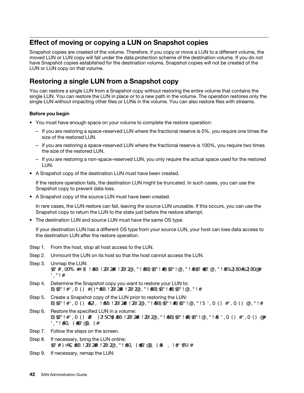## Effect of moving or copying a LUN on Snapshot copies

Snapshot copies are created of the volume. Therefore, if you copy or move a LUN to a different volume, the moved LUN or LUN copy will fall under the data protection scheme of the destination volume. If you do not have Snapshot copies established for the destination volume, Snapshot copies will not be created of the LUN or LUN copy on that volume.

# Restoring a single LUN from a Snapshot copy

You can restore a single LUN from a Snapshot copy without restoring the entire volume that contains the single LUN. You can restore the LUN in place or to a new path in the volume. The operation restores only the single LUN without impacting other files or LUNs in the volume. You can also restore files with streams.

#### Before you begin

- You must have enough space on your volume to complete the restore operation:
	- If you are restoring a space-reserved LUN where the fractional reserve is 0%, you require one times the size of the restored LUN.
	- If you are restoring a space-reserved LUN where the fractional reserve is 100%, you require two times the size of the restored LUN.
	- If you are restoring a non-space-reserved LUN, you only require the actual space used for the restored LUN.
- A Snapshot copy of the destination LUN must have been created.

If the restore operation fails, the destination LUN might be truncated. In such cases, you can use the Snapshot copy to prevent data loss.

• A Snapshot copy of the source LUN must have been created.

In rare cases, the LUN restore can fail, leaving the source LUN unusable. If this occurs, you can use the Snapshot copy to return the LUN to the state just before the restore attempt.

• The destination LUN and source LUN must have the same OS type.

If your destination LUN has a different OS type from your source LUN, your host can lose data access to the destination LUN after the restore operation.

- Step 1. From the host, stop all host access to the LUN.
- Step 2. Unmount the LUN on its host so that the host cannot access the LUN.
- Step 3. Unmap the LUN: lun mapping delete - vserver vserver\_name - volume volume\_name - lun lun\_name - igroup igroup\_ name
- Step 4. Determine the Snapshot copy you want to restore your LUN to: volume snapshot show-vserver vserver\_name - volume volume\_name
- Step 5. Create a Snapshot copy of the LUN prior to restoring the LUN: volume snapshot create -vserver vserver\_name -volume volume\_name-snapshot snapshot\_name
- Step 6. Restore the specified LUN in a volume: volume snapshot restore-file -vserver vserver\_name -volume volume\_name -snapshot snapshot\_ name -path lun\_path
- Step 7. Follow the steps on the screen.
- Step 8. If necessary, bring the LUN online: lun modify - vserver vserver name -path lun path - state online
- Step 9. If necessary, remap the LUN: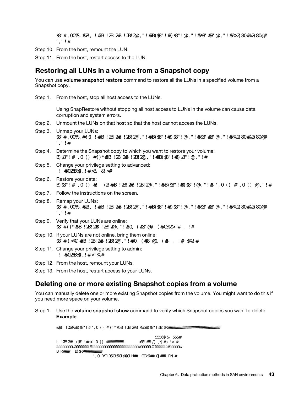lun mapping create -vserver vserver\_name -volume volume\_name -lun lun\_name -igroup igroup\_ name

Step 10. From the host, remount the LUN.

Step 11. From the host, restart access to the LUN.

## Restoring all LUNs in a volume from a Snapshot copy

You can use **volume snapshot restore** command to restore all the LUNs in a specified volume from a Snapshot copy.

Step 1. From the host, stop all host access to the LUNs.

Using SnapRestore without stopping all host access to LUNs in the volume can cause data corruption and system errors.

- Step 2. Unmount the LUNs on that host so that the host cannot access the LUNs.
- Step 3. Unmap your LUNs: lun mapping delete -vserver vserver\_name -volume volume\_name -lun lun\_name -igroup igroup\_ name
- Step 4. Determine the Snapshot copy to which you want to restore your volume: volume snapshot show-vserver vserver\_name - volume volume\_name
- Step 5. Change your privilege setting to advanced: set -privilege advanced
- Step 6. Restore your data: volume snapshot restore -vserver vserver\_name -volume volume\_name -snapshot snapshot\_name
- Step 7. Follow the instructions on the screen.
- Step 8. Remap your LUNs: lun mapping create -vserver vserver\_name -volume volume\_name -lun lun\_name -igroup igroup\_ name
- Step 9. Verify that your LUNs are online: lun show-vserver vserver\_name - path lun\_path - fields state
- Step 10. If your LUNs are not online, bring them online: lun modify -vserver vserver\_name -path lun\_path -state online
- Step 11. Change your privilege setting to admin: set -privilege admin
- Step 12. From the host, remount your LUNs.
- Step 13. From the host, restart access to your LUNs.

## Deleting one or more existing Snapshot copies from a volume

You can manually delete one or more existing Snapshot copies from the volume. You might want to do this if you need more space on your volume.

Step 1. Use the volume snapshot show command to verify which Snapshot copies you want to delete. Example

cluster::> volume snapshot show -vserver vs3 -volume vol3

---Blocks--- Vserver Volume Snapshot Size Total% Used% -------- ------- ----------------------- ----- ------ ---- vs3 vol3 snap1.2013-05-01\_0015 100KB 0% 38%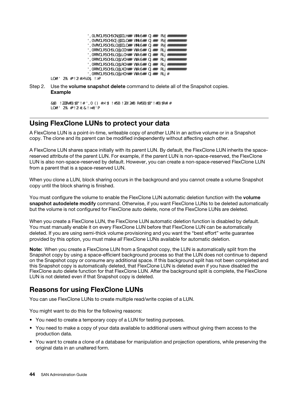| snap1.2013-05-08_0015 | <b>76KB</b> | Œ%    | 32% |
|-----------------------|-------------|-------|-----|
| snap2.2013-05-09 0010 | <b>76KB</b> | $O\%$ | 32% |
| snap2.2013-05-10 0010 | <b>76KB</b> | O%    | 32% |
| snap3.2013-05-10 1005 | 72KB        | $O\%$ | 31% |
| snap3.2013-05-10 1105 | 72KB        | $O\%$ | 31% |
| snap3.2013-05-10 1205 | 72KB        | $O\%$ | 31% |
| snap3.2013-05-10_1305 | 72KB        | O%    | 31% |
| snap3.2013-05-10 1405 | 72KB        | $O\%$ | 31% |
| snap3.2013-05-10_1505 | 72KB        | $O\%$ | 31% |
|                       |             |       |     |

10 entries were displayed.

Step 2. Use the volume snapshot delete command to delete all of the Snapshot copies. Example

> cluster::> volume snapshot delete -vserver vs3 -volume vol3 \* 10 entries were acted on.

## Using FlexClone LUNs to protect your data

A FlexClone LUN is a point-in-time, writeable copy of another LUN in an active volume or in a Snapshot copy. The clone and its parent can be modified independently without affecting each other.

A FlexClone LUN shares space initially with its parent LUN. By default, the FlexClone LUN inherits the spacereserved attribute of the parent LUN. For example, if the parent LUN is non-space-reserved, the FlexClone LUN is also non-space-reserved by default. However, you can create a non-space-reserved FlexClone LUN from a parent that is a space-reserved LUN.

When you clone a LUN, block sharing occurs in the background and you cannot create a volume Snapshot copy until the block sharing is finished.

You must configure the volume to enable the FlexClone LUN automatic deletion function with the volume snapshot autodelete modify command. Otherwise, if you want FlexClone LUNs to be deleted automatically but the volume is not configured for FlexClone auto delete, none of the FlexClone LUNs are deleted.

When you create a FlexClone LUN, the FlexClone LUN automatic deletion function is disabled by default. You must manually enable it on every FlexClone LUN before that FlexClone LUN can be automatically deleted. If you are using semi-thick volume provisioning and you want the "best effort" write guarantee provided by this option, you must make *all* FlexClone LUNs available for automatic deletion.

Note: When you create a FlexClone LUN from a Snapshot copy, the LUN is automatically split from the Snapshot copy by using a space-efficient background process so that the LUN does not continue to depend on the Snapshot copy or consume any additional space. If this background split has not been completed and this Snapshot copy is automatically deleted, that FlexClone LUN is deleted even if you have disabled the FlexClone auto delete function for that FlexClone LUN. After the background split is complete, the FlexClone LUN is not deleted even if that Snapshot copy is deleted.

## Reasons for using FlexClone LUNs

You can use FlexClone LUNs to create multiple read/write copies of a LUN.

You might want to do this for the following reasons:

- You need to create a temporary copy of a LUN for testing purposes.
- You need to make a copy of your data available to additional users without giving them access to the production data.
- You want to create a clone of a database for manipulation and projection operations, while preserving the original data in an unaltered form.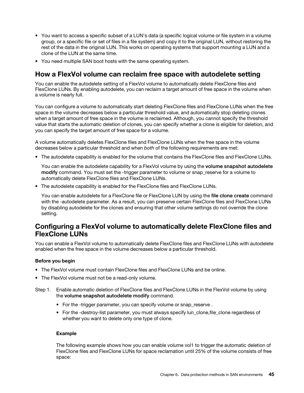- You want to access a specific subset of a LUN's data (a specific logical volume or file system in a volume group, or a specific file or set of files in a file system) and copy it to the original LUN, without restoring the rest of the data in the original LUN. This works on operating systems that support mounting a LUN and a clone of the LUN at the same time.
- You need multiple SAN boot hosts with the same operating system.

## How a FlexVol volume can reclaim free space with autodelete setting

You can enable the autodelete setting of a FlexVol volume to automatically delete FlexClone files and FlexClone LUNs. By enabling autodelete, you can reclaim a target amount of free space in the volume when a volume is nearly full.

You can configure a volume to automatically start deleting FlexClone files and FlexClone LUNs when the free space in the volume decreases below a particular threshold value, and automatically stop deleting clones when a target amount of free space in the volume is reclaimed. Although, you cannot specify the threshold value that starts the automatic deletion of clones, you can specify whether a clone is eligible for deletion, and you can specify the target amount of free space for a volume.

A volume automatically deletes FlexClone files and FlexClone LUNs when the free space in the volume decreases below a particular threshold and when *both* of the following requirements are met:

• The autodelete capability is enabled for the volume that contains the FlexClone files and FlexClone LUNs.

You can enable the autodelete capability for a FlexVol volume by using the volume snapshot autodelete modify command. You must set the -trigger parameter to volume or snap reserve for a volume to automatically delete FlexClone files and FlexClone LUNs.

• The autodelete capability is enabled for the FlexClone files and FlexClone LUNs.

You can enable autodelete for a FlexClone file or FlexClone LUN by using the file clone create command with the -autodelete parameter. As a result, you can preserve certain FlexClone files and FlexClone LUNs by disabling autodelete for the clones and ensuring that other volume settings do not override the clone setting.

## Configuring a FlexVol volume to automatically delete FlexClone files and FlexClone LUNs

You can enable a FlexVol volume to automatically delete FlexClone files and FlexClone LUNs with autodelete enabled when the free space in the volume decreases below a particular threshold.

#### Before you begin

- The FlexVol volume must contain FlexClone files and FlexClone LUNs and be online.
- The FlexVol volume must not be a read-only volume.
- Step 1. Enable automatic deletion of FlexClone files and FlexClone LUNs in the FlexVol volume by using the volume snapshot autodelete modify command.
	- For the -trigger parameter, you can specify volume or snap\_reserve .
	- For the -destroy-list parameter, you must always specify lun\_clone,file\_clone regardless of whether you want to delete only one type of clone.

#### Example

The following example shows how you can enable volume vol1 to trigger the automatic deletion of FlexClone files and FlexClone LUNs for space reclamation until 25% of the volume consists of free space: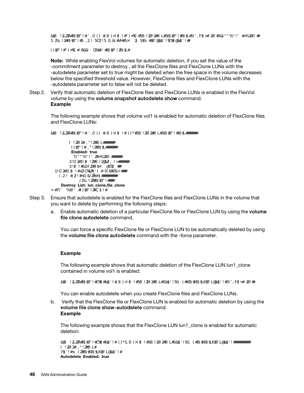cluster1::> volume snapshot autodelete modify -vserver vs1 -volume vol1 -enabled true -commitment disrupt -trigger volume -target-free-space 25 -destroy-list lun\_clone,file\_clone

Volume modify successful on volume:vol1

Note: While enabling FlexVol volumes for automatic deletion, if you set the value of the -commitment parameter to destroy , all the FlexClone files and FlexClone LUNs with the -autodelete parameter set to true might be deleted when the free space in the volume decreases below the specified threshold value. However, FlexClone files and FlexClone LUNs with the -autodelete parameter set to false will not be deleted.

Step 2. Verify that automatic deletion of FlexClone files and FlexClone LUNs is enabled in the FlexVol volume by using the volume snapshot autodelete show command. Example

The following example shows that volume vol1 is enabled for automatic deletion of FlexClone files and FlexClone LUNs:

cluster1::> volume snapshot autodelete show -vserver vs1 -volume vol1

Vserver Name: vs1 Volume Name: vol1 Enabled: true Commitment: disrupt Defer Delete: user\_created Delete Order: oldest\_first Defer Delete Prefix: (not specified) Target Free Space: 25% Trigger: volume Destroy List: lun\_clone,file\_clone Is Constituent Volume: false

- Step 3. Ensure that autodelete is enabled for the FlexClone files and FlexClone LUNs in the volume that you want to delete by performing the following steps:
	- a. Enable automatic deletion of a particular FlexClone file or FlexClone LUN by using the **volume** file clone autodelete command.

You can force a specific FlexClone file or FlexClone LUN to be automatically deleted by using the volume file clone autodelete command with the -force parameter.

#### Example

The following example shows that automatic deletion of the FlexClone LUN lun1\_clone contained in volume vol1 is enabled:

cluster1::> volume file clone autodelete -vserver vs1 -clone-path /vol/vol1/lun1\_clone -enabled true

You can enable autodelete when you create FlexClone files and FlexClone LUNs.

b. Verify that the FlexClone file or FlexClone LUN is enabled for automatic deletion by using the volume file clone show-autodelete command. Example

The following example shows that the FlexClone LUN lun1\_clone is enabled for automatic deletion:

cluster1::> volume file clone show-autodelete -vserver vs1 -clone-path vol/vol1/lun1\_clone Vserver Name: vs1 Clone Path: vol/vol1/lun1\_clone Autodelete Enabled: true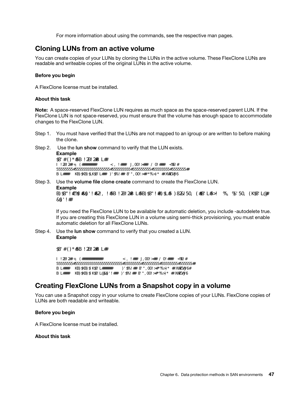For more information about using the commands, see the respective man pages.

## Cloning LUNs from an active volume

You can create copies of your LUNs by cloning the LUNs in the active volume. These FlexClone LUNs are readable and writeable copies of the original LUNs in the active volume.

#### Before you begin

A FlexClone license must be installed.

#### About this task

Note: A space-reserved FlexClone LUN requires as much space as the space-reserved parent LUN. If the FlexClone LUN is not space-reserved, you must ensure that the volume has enough space to accommodate changes to the FlexClone LUN.

- Step 1. You must have verified that the LUNs are not mapped to an igroup or are written to before making the clone.
- Step 2. Use the lun show command to verify that the LUN exists. Example lun show-vserver vs1 Vserver Path State Mapped Type Size -------- ----------------- --------- --------- -------- ------ vs1 /vol/vol1/lun1 online unmapped windows 47.07MB

#### Step 3. Use the volume file clone create command to create the FlexClone LUN.

#### Example

volume file clone create -vserver vs1 - volume vol1 - source-path lun1 - destination-path/lun1 clone

If you need the FlexClone LUN to be available for automatic deletion, you include -autodelete true. If you are creating this FlexClone LUN in a volume using semi-thick provisioning, you must enable automatic deletion for all FlexClone LUNs.

Step 4. Use the lun show command to verify that you created a LUN. Example

lun show- vserver vs1

Vserver Path State Mapped Type Size -------- ----------------------- -------- -------- -------- ----- vs1 /vol/volX/lun1 online unmapped windows 47.07MB vs1 /vol/volX/lun1\_clone online unmapped windows 47.07MB

## Creating FlexClone LUNs from a Snapshot copy in a volume

You can use a Snapshot copy in your volume to create FlexClone copies of your LUNs. FlexClone copies of LUNs are both readable and writeable.

#### Before you begin

A FlexClone license must be installed.

#### About this task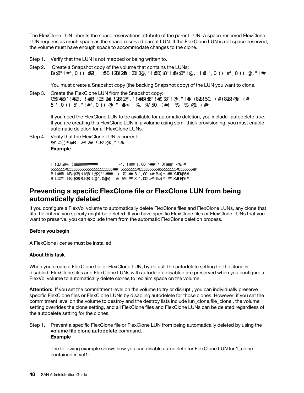The FlexClone LUN inherits the space reservations attribute of the parent LUN. A space-reserved FlexClone LUN requires as much space as the space-reserved parent LUN. If the FlexClone LUN is not space-reserved, the volume must have enough space to accommodate changes to the clone.

- Step 1. Verify that the LUN is not mapped or being written to.
- Step 2. Create a Snapshot copy of the volume that contains the LUNs: volume snapshot create -vserver vserver\_name -volume volume\_name -snapshot snapshot\_name

You must create a Snapshot copy (the backing Snapshot copy) of the LUN you want to clone.

Step 3. Create the FlexClone LUN from the Snapshot copy: file clone create -vserver vserver\_name -volume volume\_name -source-path source\_path -snapshot-name snapshot\_name -destination-path destination\_path

If you need the FlexClone LUN to be available for automatic deletion, you include -autodelete true. If you are creating this FlexClone LUN in a volume using semi-thick provisioning, you must enable automatic deletion for all FlexClone LUNs.

Step 4. Verify that the FlexClone LUN is correct: lun show-vserver vserver\_name Example

> Vserver Path State Mapped Type Size ------- ---------------------- -------- --------- -------- ------ vs1 /vol/vol1/lun1\_clone online unmapped windows 47.07MB vs1 /vol/vol1/lun1\_snap\_clone online unmapped windows 47.07MB

## Preventing a specific FlexClone file or FlexClone LUN from being automatically deleted

If you configure a FlexVol volume to automatically delete FlexClone files and FlexClone LUNs, any clone that fits the criteria you specify might be deleted. If you have specific FlexClone files or FlexClone LUNs that you want to preserve, you can exclude them from the automatic FlexClone deletion process.

#### Before you begin

A FlexClone license must be installed.

#### About this task

When you create a FlexClone file or FlexClone LUN, by default the autodelete setting for the clone is disabled. FlexClone files and FlexClone LUNs with autodelete disabled are preserved when you configure a FlexVol volume to automatically delete clones to reclaim space on the volume.

Attention: If you set the commitment level on the volume to try or disrupt, you can individually preserve specific FlexClone files or FlexClone LUNs by disabling autodelete for those clones. However, if you set the commitment level on the volume to destroy and the destroy lists include lun\_clone,file\_clone , the volume setting overrides the clone setting, and all FlexClone files and FlexClone LUNs can be deleted regardless of the autodelete setting for the clones.

Step 1. Prevent a specific FlexClone file or FlexClone LUN from being automatically deleted by using the volume file clone autodelete command. Example

The following example shows how you can disable autodelete for FlexClone LUN lun1\_clone contained in vol1: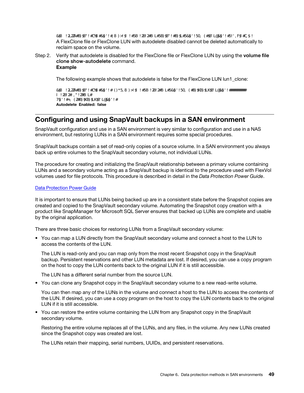cluster1::> volume file clone autodelete -vserver vs1 -volume vol1 -clone-path lun1\_clone -enable false A FlexClone file or FlexClone LUN with autodelete disabled cannot be deleted automatically to reclaim space on the volume.

Step 2. Verify that autodelete is disabled for the FlexClone file or FlexClone LUN by using the volume file clone show-autodelete command. Example

The following example shows that autodelete is false for the FlexClone LUN lun1\_clone:

cluster1::> volume file clone show-autodelete -vserver vs1 -clone-path vol/vol1/lun1\_clone Vserver Name: vs1 Clone Path: vol/vol1/lun1\_clone Autodelete Enabled: false

## Configuring and using SnapVault backups in a SAN environment

SnapVault configuration and use in a SAN environment is very similar to configuration and use in a NAS environment, but restoring LUNs in a SAN environment requires some special procedures.

SnapVault backups contain a set of read-only copies of a source volume. In a SAN environment you always back up entire volumes to the SnapVault secondary volume, not individual LUNs.

The procedure for creating and initializing the SnapVault relationship between a primary volume containing LUNs and a secondary volume acting as a SnapVault backup is identical to the procedure used with FlexVol volumes used for file protocols. This procedure is described in detail in the *Data Protection Power Guide*.

#### Data Protection Power Guide

It is important to ensure that LUNs being backed up are in a consistent state before the Snapshot copies are created and copied to the SnapVault secondary volume. Automating the Snapshot copy creation with a product like SnapManager for Microsoft SQL Server ensures that backed up LUNs are complete and usable by the original application.

There are three basic choices for restoring LUNs from a SnapVault secondary volume:

• You can map a LUN directly from the SnapVault secondary volume and connect a host to the LUN to access the contents of the LUN.

The LUN is read-only and you can map only from the most recent Snapshot copy in the SnapVault backup. Persistent reservations and other LUN metadata are lost. If desired, you can use a copy program on the host to copy the LUN contents back to the original LUN if it is still accessible.

The LUN has a different serial number from the source LUN.

• You can clone any Snapshot copy in the SnapVault secondary volume to a new read-write volume.

You can then map any of the LUNs in the volume and connect a host to the LUN to access the contents of the LUN. If desired, you can use a copy program on the host to copy the LUN contents back to the original LUN if it is still accessible.

• You can restore the entire volume containing the LUN from any Snapshot copy in the SnapVault secondary volume.

Restoring the entire volume replaces all of the LUNs, and any files, in the volume. Any new LUNs created since the Snapshot copy was created are lost.

The LUNs retain their mapping, serial numbers, UUIDs, and persistent reservations.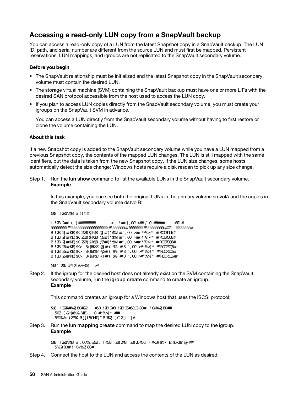## Accessing a read-only LUN copy from a SnapVault backup

You can access a read-only copy of a LUN from the latest Snapshot copy in a SnapVault backup. The LUN ID, path, and serial number are different from the source LUN and must first be mapped. Persistent reservations, LUN mappings, and igroups are not replicated to the SnapVault secondary volume.

#### Before you begin

- The SnapVault relationship must be initialized and the latest Snapshot copy in the SnapVault secondary volume must contain the desired LUN.
- The storage virtual machine (SVM) containing the SnapVault backup must have one or more LIFs with the desired SAN protocol accessible from the host used to access the LUN copy.
- If you plan to access LUN copies directly from the SnapVault secondary volume, you must create your igroups on the SnapVault SVM in advance.

You can access a LUN directly from the SnapVault secondary volume without having to first restore or clone the volume containing the LUN.

#### About this task

If a new Snapshot copy is added to the SnapVault secondary volume while you have a LUN mapped from a previous Snapshot copy, the contents of the mapped LUN changes. The LUN is still mapped with the same identifiers, but the data is taken from the new Snapshot copy. If the LUN size changes, some hosts automatically detect the size change; Windows hosts require a disk rescan to pick up any size change.

Step 1. Run the lun show command to list the available LUNs in the SnapVault secondary volume. Example

In this example, you can see both the original LUNs in the primary volume srcvolA and the copies in the SnapVault secondary volume dstvolB:

cluster::> lun show

| Vserver Path |                                                             | State Mapped Type |  | Size |
|--------------|-------------------------------------------------------------|-------------------|--|------|
|              |                                                             |                   |  |      |
|              | vserverA /vol/srcvolA/lun_A online mapped windows 300.0GB   |                   |  |      |
|              | vserverA /vol/srcvolA/lun_B online mapped windows 300.0GB   |                   |  |      |
|              | vserverA /vol/srcvolA/lun_C online mapped windows 300.0GB   |                   |  |      |
|              | vserverB /vol/dstvolB/lun_A online unmapped windows 300.0GB |                   |  |      |
|              | vserverB /vol/dstvolB/lun_B online unmapped windows 300.0GB |                   |  |      |
|              | vserverB /vol/dstvolB/lun_C online unmapped windows 300.0GB |                   |  |      |

6 entries were displayed.

Step 2. If the igroup for the desired host does not already exist on the SVM containing the SnapVault secondary volume, run the igroup create command to create an igroup. Example

This command creates an igroup for a Windows host that uses the iSCSI protocol:

cluster::> igroup create -vserver vserverB -igroup temp\_igroup -protocol iscsi -ostype windows -initiator ign.1991-05.commicrosoft:hostA

Step 3. Run the lun mapping create command to map the desired LUN copy to the igroup. Example

> cluster::> lun mapping create -vserver vserverB -path /vol/dstvolB/lun\_A -igroup temp\_igroup

Step 4. Connect the host to the LUN and access the contents of the LUN as desired.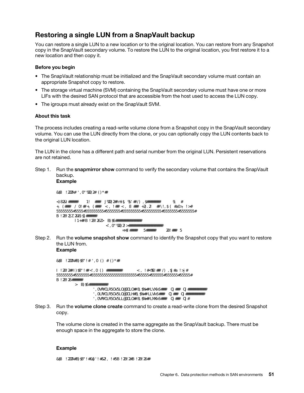## Restoring a single LUN from a SnapVault backup

You can restore a single LUN to a new location or to the original location. You can restore from any Snapshot copy in the SnapVault secondary volume. To restore the LUN to the original location, you first restore it to a new location and then copy it.

#### Before you begin

- The SnapVault relationship must be initialized and the SnapVault secondary volume must contain an appropriate Snapshot copy to restore.
- The storage virtual machine (SVM) containing the SnapVault secondary volume must have one or more LIFs with the desired SAN protocol that are accessible from the host used to access the LUN copy.
- The igroups must already exist on the SnapVault SVM.

#### About this task

The process includes creating a read-write volume clone from a Snapshot copy in the SnapVault secondary volume. You can use the LUN directly from the clone, or you can optionally copy the LUN contents back to the original LUN location.

The LUN in the clone has a different path and serial number from the original LUN. Persistent reservations are not retained.

Step 1. Run the snapmirror show command to verify the secondary volume that contains the SnapVault backup.

#### Example

cluster::> snapmirror show

Source Dest Mirror Relation Total Last Path Type Path State Status Progress Healthy Updated -------- ---- --------- ------- --------- --------- ------- ------ vserverA:srcvolA XDP vserverB:dstvolB **Snapmirrored** Idle - true -

Step 2. Run the **volume snapshot show** command to identify the Snapshot copy that you want to restore the LUN from.

#### Example

cluster::> volume snapshot show Vserver Volume Snapshot State Size Total% Used% -------- ------- ---------------------- ----- ------ ------ ---- vserverB dstvolB snap2.2013-02-10\_0010 valid 124KB 0% 0% snap1.2013-02-10\_0015 valid 112KB 0% 0% snap2.2013-02-11\_0010 valid 164KB 0% 0%

Step 3. Run the **volume clone create** command to create a read-write clone from the desired Snapshot copy.

The volume clone is created in the same aggregate as the SnapVault backup. There must be enough space in the aggregate to store the clone.

#### Example

cluster::> volume clone create -vserver vserverB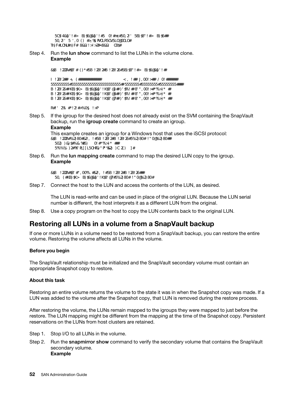-flexclone dstvolB\_clone -type RW-parent-volume dstvolB -parent-snapshot daily.2013-02-10\_0010 [Job 108] Job succeeded: Successful

Step 4. Run the lun show command to list the LUNs in the volume clone. Example

cluster::> lun show -vserver vserverB -volume dstvolB\_clone

Vserver Path State Mapped Type --------- ------------------------ ------- -------- ------- vserverB /vol/dstvolB\_clone/lun\_A online unmapped windows vserverB /vol/dstvolB\_clone/lun\_B online unmapped windows vserverB /vol/dstvolB\_clone/lun\_C online unmapped windows

3 entries were displayed.

Step 5. If the igroup for the desired host does not already exist on the SVM containing the SnapVault backup, run the igroup create command to create an igroup.

#### Example

This example creates an igroup for a Windows host that uses the iSCSI protocol: cluster::> igroup create -vserver vserverB -igroup temp\_igroup -protocol iscsi -ostype windows -initiator ign.1991-05.commicrosoft:hostA

Step 6. Run the lun mapping create command to map the desired LUN copy to the igroup. Example

> cluster::> lun mapping create -vserver vserverB -path /vol/dstvolB\_clone/lun\_C -igroup temp\_igroup

Step 7. Connect the host to the LUN and access the contents of the LUN, as desired.

The LUN is read-write and can be used in place of the original LUN. Because the LUN serial number is different, the host interprets it as a different LUN from the original.

Step 8. Use a copy program on the host to copy the LUN contents back to the original LUN.

## Restoring all LUNs in a volume from a SnapVault backup

If one or more LUNs in a volume need to be restored from a SnapVault backup, you can restore the entire volume. Restoring the volume affects all LUNs in the volume.

#### Before you begin

The SnapVault relationship must be initialized and the SnapVault secondary volume must contain an appropriate Snapshot copy to restore.

#### About this task

Restoring an entire volume returns the volume to the state it was in when the Snapshot copy was made. If a LUN was added to the volume after the Snapshot copy, that LUN is removed during the restore process.

After restoring the volume, the LUNs remain mapped to the igroups they were mapped to just before the restore. The LUN mapping might be different from the mapping at the time of the Snapshot copy. Persistent reservations on the LUNs from host clusters are retained.

- Step 1. Stop I/O to all LUNs in the volume.
- Step 2. Run the snapmirror show command to verify the secondary volume that contains the SnapVault secondary volume. Example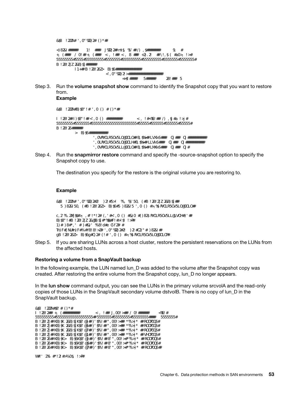cluster::> snapmirror show

Source Dest Mirror Relation Total Last Path Type Path State Status Progress Healthy Updated -------- ---- --------- ------- --------- --------- ------- ------ vserverA:srcvolA XDP vserverB:dstvolB **Snapmirrored** Idle - true -

Step 3. Run the volume snapshot show command to identify the Snapshot copy that you want to restore from.

Example

cluster::> volume snapshot show

Vserver Volume Snapshot State Size Total% Used% -------- ------- ---------------------- ----- ------ ------ ---- vserverB dstvolB snap2.2013-02-10\_0010 valid 124KB 0% 0% snap1.2013-02-10\_0015 valid 112KB 0% 0% snap2.2013-02-11\_0010 valid 164KB 0% 0%

Step 4. Run the snapmirror restore command and specify the -source-snapshot option to specify the Snapshot copy to use.

The destination you specify for the restore is the original volume you are restoring to.

#### Example

cluster::> snapmirror restore -destination-path vserverA:srcvolA -source-path vserverB:dstvolB -source-snapshot daily.2013-02-10\_0010

Warning: All data newer than Snapshot copy hourly.2013-02-11\_1205 on volume vserverA:src\_volA will be deleted. Do you want to continue?  $\{y|n\}$ : y [Job 98] Job is queued: snapmirror restore from source "vserverB:dstvolB" for the snapshot daily.2013-02-10\_0010.

Step 5. If you are sharing LUNs across a host cluster, restore the persistent reservations on the LUNs from the affected hosts.

#### Restoring a volume from a SnapVault backup

In the following example, the LUN named lun D was added to the volume after the Snapshot copy was created. After restoring the entire volume from the Snapshot copy, lun\_D no longer appears.

In the lun show command output, you can see the LUNs in the primary volume srcvolA and the read-only copies of those LUNs in the SnapVault secondary volume dstvolB. There is no copy of lun\_D in the SnapVault backup.

| $cluster: > I$ un show |                                                             |                   |                   |      |
|------------------------|-------------------------------------------------------------|-------------------|-------------------|------|
| Vserver Path           |                                                             | State Mapped Type |                   | Size |
|                        |                                                             |                   |                   |      |
|                        | vserverA /vol/srcvolA/lun A online mapped                   |                   | $windows$ 300.0GB |      |
|                        | vserverA /vol/srcvolA/lun B online mapped windows 300.0GB   |                   |                   |      |
|                        | vserverA /vol/srcvolA/lun C online mapped windows 300.0GB   |                   |                   |      |
|                        | vserverA /vol/srcvolA/lun_D online mapped windows 250.0GB   |                   |                   |      |
|                        | vserverB /vol/dstvolB/lun_A online unmapped windows 300.0GB |                   |                   |      |
|                        | vserverB /vol/dstvolB/lun_B online unmapped windows 300.0GB |                   |                   |      |
|                        | vserverB /vol/dstvolB/lun_C online unmapped windows 300.0GB |                   |                   |      |

7 entries were displayed.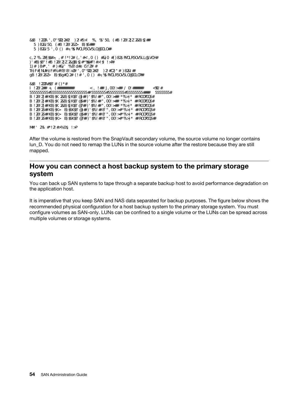cluster::>snapmirror restore -destination-path vserverA:srcvolA -source-path vserverB:dstvolB -source-snapshot daily.2013-02-10\_0010 Warning: All data newer than Snapshot copy hourly.2013-02-11\_1205 on volume vserverA:src\_volA will be deleted. Do you want to continue?  $\{y|n\}$ : y [Job 98] Job is queued: snapmirror restore from source "vserverB:dstvolB" for the snapshot daily.2013-02-10\_0010. cluster::> lun show<br>Vserver Path State Mapped Type Size --------- ------------------ ------- -------- -------- ------ vserverA /vol/srcvolA/lun\_A online mapped windows 300.0GB vserverA /vol/srcvolA/lun\_B online mapped windows 300.0GB vserverA /vol/srcvolA/lun\_C online mapped windows 300.0GB vserverB /vol/dstvolB/lun\_A online unmapped windows 300.0GB vserverB /vol/dstvolB/lun\_B online unmapped windows 300.0GB

vserverB /vol/dstvolB/lun\_C online unmapped windows 300.0GB

6 entries were displayed.

After the volume is restored from the SnapVault secondary volume, the source volume no longer contains lun\_D. You do not need to remap the LUNs in the source volume after the restore because they are still mapped.

### How you can connect a host backup system to the primary storage system

You can back up SAN systems to tape through a separate backup host to avoid performance degradation on the application host.

It is imperative that you keep SAN and NAS data separated for backup purposes. The figure below shows the recommended physical configuration for a host backup system to the primary storage system. You must configure volumes as SAN-only. LUNs can be confined to a single volume or the LUNs can be spread across multiple volumes or storage systems.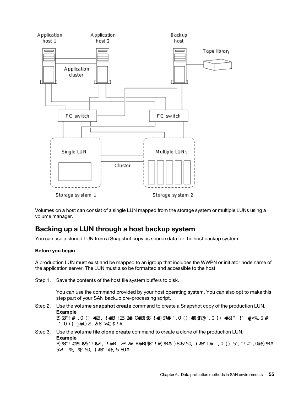

Volumes on a host can consist of a single LUN mapped from the storage system or multiple LUNs using a volume manager.

## Backing up a LUN through a host backup system

You can use a cloned LUN from a Snapshot copy as source data for the host backup system.

#### Before you begin

A production LUN must exist and be mapped to an igroup that includes the WWPN or initiator node name of the application server. The LUN must also be formatted and accessible to the host

Step 1. Save the contents of the host file system buffers to disk.

You can use the command provided by your host operating system. You can also opt to make this step part of your SAN backup pre-processing script.

Step 2. Use the **volume snapshot create** command to create a Snapshot copy of the production LUN. Example volume snapshot create -vserver vs0 -volume vol3 -snapshot vol3\_snapshot -comment "Single

snapshot" -foreground false Step 3. Use the volume file clone create command to create a clone of the production LUN.

Example

volume file clone create - vserver vs3 - volume vol3 - source-path lun1 - snapshot-name snap\_vol3 -destination-path lun1\_backup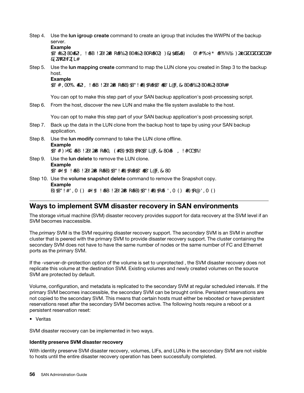Step 4. Use the lun igroup create command to create an igroup that includes the WWPN of the backup server.

#### Example

lun igroup create -vserver vs3 -igroup igroup3 - protocol fc -ostype windows -initiator 10:00:00:00:00:00:00:00 c9:73:5b:91

- Step 5. Use the **lun mapping create** command to map the LUN clone you created in Step 3 to the backup host.
	- Example

lun mapping create -vserver vs3 -volume vol3 -lun lun1\_backup -igroup igroup3

You can opt to make this step part of your SAN backup application's post-processing script.

Step 6. From the host, discover the new LUN and make the file system available to the host.

You can opt to make this step part of your SAN backup application's post-processing script.

- Step 7. Back up the data in the LUN clone from the backup host to tape by using your SAN backup application.
- Step 8. Use the lun modify command to take the LUN clone offline. Example lun modify -vserver vs3 -path /vol/vol3/lun1\_backup -state offline
- Step 9. Use the lun delete to remove the LUN clone. Example lun delete -vserver vs3 -volume vol3 -lun lun1\_backup
- Step 10. Use the **volume snapshot delete** command to remove the Snapshot copy. Example volume snapshot delete -vserver vs3 -volume vol3 -snapshot vol3\_snapshot

## Ways to implement SVM disaster recovery in SAN environments

The storage virtual machine (SVM) disaster recovery provides support for data recovery at the SVM level if an SVM becomes inaccessible.

The *primary* SVM is the SVM requiring disaster recovery support. The *secondary* SVM is an SVM in another cluster that is peered with the primary SVM to provide disaster recovery support. The cluster containing the secondary SVM does not have to have the same number of nodes or the same number of FC and Ethernet ports as the primary SVM.

If the -vserver-dr-protection option of the volume is set to unprotected , the SVM disaster recovery does not replicate this volume at the destination SVM. Existing volumes and newly created volumes on the source SVM are protected by default.

Volume, configuration, and metadata is replicated to the secondary SVM at regular scheduled intervals. If the primary SVM becomes inaccessible, the secondary SVM can be brought online. Persistent reservations are not copied to the secondary SVM. This means that certain hosts must either be rebooted or have persistent reservations reset after the secondary SVM becomes active. The following hosts require a reboot or a persistent reservation reset:

• Veritas

SVM disaster recovery can be implemented in two ways.

#### Identity preserve SVM disaster recovery

With identity preserve SVM disaster recovery, volumes, LIFs, and LUNs in the secondary SVM are not visible to hosts until the entire disaster recovery operation has been successfully completed.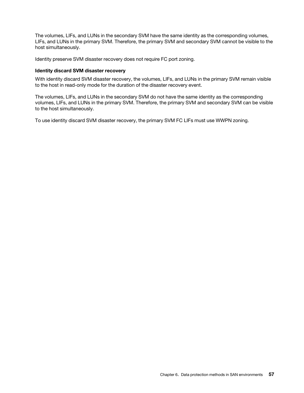The volumes, LIFs, and LUNs in the secondary SVM have the same identity as the corresponding volumes, LIFs, and LUNs in the primary SVM. Therefore, the primary SVM and secondary SVM cannot be visible to the host simultaneously.

Identity preserve SVM disaster recovery does not require FC port zoning.

#### Identity discard SVM disaster recovery

With identity discard SVM disaster recovery, the volumes, LIFs, and LUNs in the primary SVM remain visible to the host in read-only mode for the duration of the disaster recovery event.

The volumes, LIFs, and LUNs in the secondary SVM do not have the same identity as the corresponding volumes, LIFs, and LUNs in the primary SVM. Therefore, the primary SVM and secondary SVM can be visible to the host simultaneously.

To use identity discard SVM disaster recovery, the primary SVM FC LIFs must use WWPN zoning.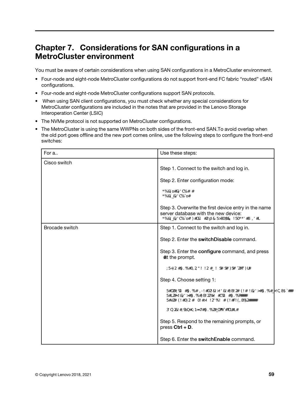# Chapter 7. Considerations for SAN configurations in a MetroCluster environment

You must be aware of certain considerations when using SAN configurations in a MetroCluster environment.

- Four-node and eight-node MetroCluster configurations do not support front-end FC fabric "routed" vSAN configurations.
- Four-node and eight-node MetroCluster configurations support SAN protocols.
- When using SAN client configurations, you must check whether any special considerations for MetroCluster configurations are included in the notes that are provided in the Lenovo Storage Interoperation Center (LSIC)
- The NVMe protocol is not supported on MetroCluster configurations.
- The MetroCluster is using the same WWPNs on both sides of the front-end SAN.To avoid overlap when the old port goes offline and the new port comes online, use the following steps to configure the front-end switches:

| For a          | Use these steps:                                                                                                                                          |  |
|----------------|-----------------------------------------------------------------------------------------------------------------------------------------------------------|--|
| Cisco switch   | Step 1. Connect to the switch and log in.                                                                                                                 |  |
|                | Step 2. Enter configuration mode:                                                                                                                         |  |
|                | switch# config t<br>switch(config)#                                                                                                                       |  |
|                | Step 3. Overwrite the first device entry in the name<br>server database with the new device:<br>switch(config)# no fcns reject-duplicate-pwwn vsan 1      |  |
| Brocade switch | Step 1. Connect to the switch and log in.                                                                                                                 |  |
|                | Step 2. Enter the switchDisable command.                                                                                                                  |  |
|                | Step 3. Enter the configure command, and press<br>y at the prompt.                                                                                        |  |
|                | F-Port login parameters (yes, y, no, n): [no] y                                                                                                           |  |
|                | Step 4. Choose setting 1:                                                                                                                                 |  |
|                | - O. First login take precedence over the second login (default)<br>- 1: Second login overrides first login.<br>- 2 the port type determines the behavior |  |
|                | Enforce FLOGI/FDISC login: (0.2) [O] 1                                                                                                                    |  |
|                | Step 5. Respond to the remaining prompts, or<br>press $Ctrl + D$ .                                                                                        |  |
|                | Step 6. Enter the switch Enable command.                                                                                                                  |  |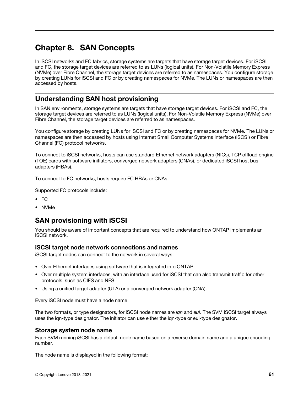# Chapter 8. SAN Concepts

In iSCSI networks and FC fabrics, storage systems are targets that have storage target devices. For iSCSI and FC, the storage target devices are referred to as LUNs (logical units). For Non-Volatile Memory Express (NVMe) over Fibre Channel, the storage target devices are referred to as namespaces. You configure storage by creating LUNs for iSCSI and FC or by creating namespaces for NVMe. The LUNs or namespaces are then accessed by hosts.

## Understanding SAN host provisioning

In SAN environments, storage systems are targets that have storage target devices. For iSCSI and FC, the storage target devices are referred to as LUNs (logical units). For Non-Volatile Memory Express (NVMe) over Fibre Channel, the storage target devices are referred to as namespaces.

You configure storage by creating LUNs for iSCSI and FC or by creating namespaces for NVMe. The LUNs or namespaces are then accessed by hosts using Internet Small Computer Systems Interface (iSCSI) or Fibre Channel (FC) protocol networks.

To connect to iSCSI networks, hosts can use standard Ethernet network adapters (NICs), TCP offload engine (TOE) cards with software initiators, converged network adapters (CNAs), or dedicated iSCSI host bus adapters (HBAs).

To connect to FC networks, hosts require FC HBAs or CNAs.

Supported FC protocols include:

- FC
- NVMe

## SAN provisioning with iSCSI

You should be aware of important concepts that are required to understand how ONTAP implements an iSCSI network.

### iSCSI target node network connections and names

iSCSI target nodes can connect to the network in several ways:

- Over Ethernet interfaces using software that is integrated into ONTAP.
- Over multiple system interfaces, with an interface used for iSCSI that can also transmit traffic for other protocols, such as CIFS and NFS.
- Using a unified target adapter (UTA) or a converged network adapter (CNA).

Every iSCSI node must have a node name.

The two formats, or type designators, for iSCSI node names are *iqn* and *eui*. The SVM iSCSI target always uses the iqn-type designator. The initiator can use either the iqn-type or eui-type designator.

### Storage system node name

Each SVM running iSCSI has a default node name based on a reverse domain name and a unique encoding number.

The node name is displayed in the following format: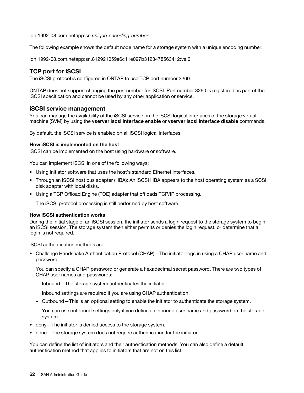iqn.1992-08.com.netapp:sn.*unique-encoding-number* 

The following example shows the default node name for a storage system with a unique encoding number:

iqn.1992-08.com.netapp:sn.812921059e6c11e097b3123478563412:vs.6

### TCP port for iSCSI

The iSCSI protocol is configured in ONTAP to use TCP port number 3260.

ONTAP does not support changing the port number for iSCSI. Port number 3260 is registered as part of the iSCSI specification and cannot be used by any other application or service.

#### iSCSI service management

You can manage the availability of the iSCSI service on the iSCSI logical interfaces of the storage virtual machine (SVM) by using the vserver iscsi interface enable or vserver iscsi interface disable commands.

By default, the iSCSI service is enabled on all iSCSI logical interfaces.

#### How iSCSI is implemented on the host

iSCSI can be implemented on the host using hardware or software.

You can implement iSCSI in one of the following ways:

- Using Initiator software that uses the host's standard Ethernet interfaces.
- Through an iSCSI host bus adapter (HBA): An iSCSI HBA appears to the host operating system as a SCSI disk adapter with local disks.
- Using a TCP Offload Engine (TOE) adapter that offloads TCP/IP processing.

The iSCSI protocol processing is still performed by host software.

#### How iSCSI authentication works

During the initial stage of an iSCSI session, the initiator sends a login request to the storage system to begin an iSCSI session. The storage system then either permits or denies the login request, or determine that a login is not required.

iSCSI authentication methods are:

• Challenge Handshake Authentication Protocol (CHAP)—The initiator logs in using a CHAP user name and password.

You can specify a CHAP password or generate a hexadecimal secret password. There are two types of CHAP user names and passwords:

– Inbound—The storage system authenticates the initiator.

Inbound settings are required if you are using CHAP authentication.

– Outbound—This is an optional setting to enable the initiator to authenticate the storage system.

You can use outbound settings only if you define an inbound user name and password on the storage system.

- deny—The initiator is denied access to the storage system.
- none—The storage system does not require authentication for the initiator.

You can define the list of initiators and their authentication methods. You can also define a default authentication method that applies to initiators that are not on this list.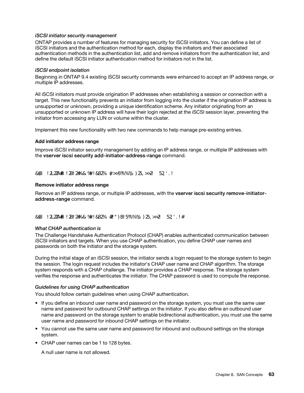#### iSCSI initiator security management

ONTAP provides a number of features for managing security for iSCSI initiators. You can define a list of iSCSI initiators and the authentication method for each, display the initiators and their associated authentication methods in the authentication list, add and remove initiators from the authentication list, and define the default iSCSI initiator authentication method for initiators not in the list.

#### iSCSI endpoint isolation

Beginning in ONTAP 9.4 existing iSCSI security commands were enhanced to accept an IP address range, or multiple IP addresses.

All iSCSI initiators must provide origination IP addresses when establishing a session or connection with a target. This new functionality prevents an initiator from logging into the cluster if the origination IP address is unsupported or unknown, providing a unique identification scheme. Any initiator originating from an unsupported or unknown IP address will have their login rejected at the iSCSI session layer, preventing the initiator from accessing any LUN or volume within the cluster.

Implement this new functionality with two new commands to help manage pre-existing entries.

#### Add initiator address range

Improve iSCSI initiator security management by adding an IP address range, or multiple IP addresses with the vserver iscsi security add-initiator-address-range command.

cluster1::> vserver iscsi security add-initiator-address-range

#### Remove initiator address range

Remove an IP address range, or multiple IP addresses, with the vserver iscsi security remove-initiatoraddress-range command.

cluster1::> vserver iscsi security remove-initiator-address-range

#### What CHAP authentication is

The Challenge Handshake Authentication Protocol (CHAP) enables authenticated communication between iSCSI initiators and targets. When you use CHAP authentication, you define CHAP user names and passwords on both the initiator and the storage system.

During the initial stage of an iSCSI session, the initiator sends a login request to the storage system to begin the session. The login request includes the initiator's CHAP user name and CHAP algorithm. The storage system responds with a CHAP challenge. The initiator provides a CHAP response. The storage system verifies the response and authenticates the initiator. The CHAP password is used to compute the response.

#### Guidelines for using CHAP authentication

You should follow certain guidelines when using CHAP authentication.

- If you define an inbound user name and password on the storage system, you must use the same user name and password for outbound CHAP settings on the initiator. If you also define an outbound user name and password on the storage system to enable bidirectional authentication, you must use the same user name and password for inbound CHAP settings on the initiator.
- You cannot use the same user name and password for inbound and outbound settings on the storage system.
- CHAP user names can be 1 to 128 bytes.

A null user name is not allowed.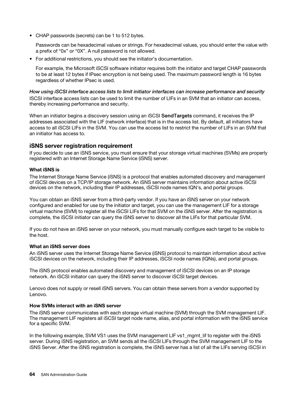• CHAP passwords (secrets) can be 1 to 512 bytes.

Passwords can be hexadecimal values or strings. For hexadecimal values, you should enter the value with a prefix of "0x" or "0X". A null password is not allowed.

• For additional restrictions, you should see the initiator's documentation.

For example, the Microsoft iSCSI software initiator requires both the initiator and target CHAP passwords to be at least 12 bytes if IPsec encryption is not being used. The maximum password length is 16 bytes regardless of whether IPsec is used.

How using iSCSI interface access lists to limit initiator interfaces can increase performance and security ISCSI interface access lists can be used to limit the number of LIFs in an SVM that an initiator can access, thereby increasing performance and security.

When an initiator begins a discovery session using an iSCSI SendTargets command, it receives the IP addresses associated with the LIF (network interface) that is in the access list. By default, all initiators have access to all iSCSI LIFs in the SVM. You can use the access list to restrict the number of LIFs in an SVM that an initiator has access to.

### iSNS server registration requirement

If you decide to use an iSNS service, you must ensure that your storage virtual machines (SVMs) are properly registered with an Internet Storage Name Service (iSNS) server.

#### What iSNS is

The Internet Storage Name Service (iSNS) is a protocol that enables automated discovery and management of iSCSI devices on a TCP/IP storage network. An iSNS server maintains information about active iSCSI devices on the network, including their IP addresses, iSCSI node names IQN's, and portal groups.

You can obtain an iSNS server from a third-party vendor. If you have an iSNS server on your network configured and enabled for use by the initiator and target, you can use the management LIF for a storage virtual machine (SVM) to register all the iSCSI LIFs for that SVM on the iSNS server. After the registration is complete, the iSCSI initiator can query the iSNS server to discover all the LIFs for that particular SVM.

If you do not have an iSNS server on your network, you must manually configure each target to be visible to the host.

#### What an iSNS server does

An iSNS server uses the Internet Storage Name Service (iSNS) protocol to maintain information about active iSCSI devices on the network, including their IP addresses, iSCSI node names (IQNs), and portal groups.

The iSNS protocol enables automated discovery and management of iSCSI devices on an IP storage network. An iSCSI initiator can query the iSNS server to discover iSCSI target devices.

Lenovo does not supply or resell iSNS servers. You can obtain these servers from a vendor supported by Lenovo.

#### How SVMs interact with an iSNS server

The iSNS server communicates with each storage virtual machine (SVM) through the SVM management LIF. The management LIF registers all iSCSI target node name, alias, and portal information with the iSNS service for a specific SVM.

In the following example, SVM VS1 uses the SVM management LIF vs1\_mgmt\_lif to register with the iSNS server. During iSNS registration, an SVM sends all the iSCSI LIFs through the SVM management LIF to the iSNS Server. After the iSNS registration is complete, the iSNS server has a list of all the LIFs serving iSCSI in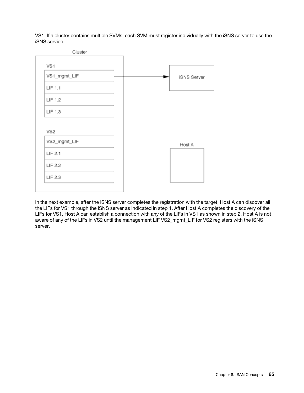VS1. If a cluster contains multiple SVMs, each SVM must register individually with the iSNS server to use the iSNS service.



In the next example, after the iSNS server completes the registration with the target, Host A can discover all the LIFs for VS1 through the iSNS server as indicated in step 1. After Host A completes the discovery of the LIFs for VS1, Host A can establish a connection with any of the LIFs in VS1 as shown in step 2. Host A is not aware of any of the LIFs in VS2 until the management LIF VS2\_mgmt\_LIF for VS2 registers with the iSNS server.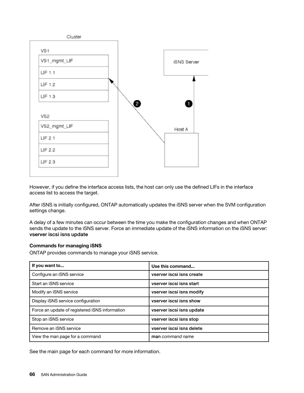

However, if you define the interface access lists, the host can only use the defined LIFs in the interface access list to access the target.

After iSNS is initially configured, ONTAP automatically updates the iSNS server when the SVM configuration settings change.

A delay of a few minutes can occur between the time you make the configuration changes and when ONTAP sends the update to the iSNS server. Force an immediate update of the iSNS information on the iSNS server: vserver iscsi isns update

#### Commands for managing iSNS

ONTAP provides commands to manage your iSNS service.

| If you want to                                 | Use this command          |
|------------------------------------------------|---------------------------|
| Configure an iSNS service                      | vserver iscsi isns create |
| Start an iSNS service                          | vserver iscsi isns start  |
| Modify an iSNS service                         | vserver iscsi isns modify |
| Display iSNS service configuration             | vserver iscsi isns show   |
| Force an update of registered iSNS information | vserver iscsi isns update |
| Stop an iSNS service                           | vserver iscsi isns stop   |
| Remove an iSNS service                         | vserver iscsi isns delete |
| View the man page for a command                | man command name          |

See the main page for each command for more information.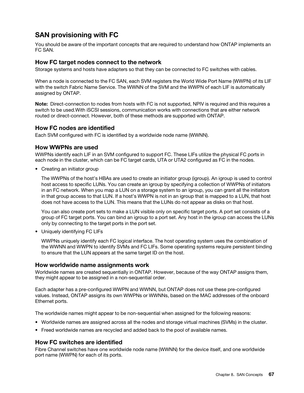# SAN provisioning with FC

You should be aware of the important concepts that are required to understand how ONTAP implements an FC SAN.

### How FC target nodes connect to the network

Storage systems and hosts have adapters so that they can be connected to FC switches with cables.

When a node is connected to the FC SAN, each SVM registers the World Wide Port Name (WWPN) of its LIF with the switch Fabric Name Service. The WWNN of the SVM and the WWPN of each LIF is automatically assigned by ONTAP.

Note: Direct-connection to nodes from hosts with FC is not supported, NPIV is required and this requires a switch to be used.With iSCSI sessions, communication works with connections that are either network routed or direct-connect. However, both of these methods are supported with ONTAP.

### How FC nodes are identified

Each SVM configured with FC is identified by a worldwide node name (WWNN).

#### How WWPNs are used

WWPNs identify each LIF in an SVM configured to support FC. These LIFs utilize the physical FC ports in each node in the cluster, which can be FC target cards, UTA or UTA2 configured as FC in the nodes.

• Creating an initiator group

The WWPNs of the host's HBAs are used to create an initiator group (igroup). An igroup is used to control host access to specific LUNs. You can create an igroup by specifying a collection of WWPNs of initiators in an FC network. When you map a LUN on a storage system to an igroup, you can grant all the initiators in that group access to that LUN. If a host's WWPN is not in an igroup that is mapped to a LUN, that host does not have access to the LUN. This means that the LUNs do not appear as disks on that host.

You can also create port sets to make a LUN visible only on specific target ports. A port set consists of a group of FC target ports. You can bind an igroup to a port set. Any host in the igroup can access the LUNs only by connecting to the target ports in the port set.

• Uniquely identifying FC LIFs

WWPNs uniquely identify each FC logical interface. The host operating system uses the combination of the WWNN and WWPN to identify SVMs and FC LIFs. Some operating systems require persistent binding to ensure that the LUN appears at the same target ID on the host.

#### How worldwide name assignments work

Worldwide names are created sequentially in ONTAP. However, because of the way ONTAP assigns them, they might appear to be assigned in a non-sequential order.

Each adapter has a pre-configured WWPN and WWNN, but ONTAP does not use these pre-configured values. Instead, ONTAP assigns its own WWPNs or WWNNs, based on the MAC addresses of the onboard Ethernet ports.

The worldwide names might appear to be non-sequential when assigned for the following reasons:

- Worldwide names are assigned across all the nodes and storage virtual machines (SVMs) in the cluster.
- Freed worldwide names are recycled and added back to the pool of available names.

### How FC switches are identified

Fibre Channel switches have one worldwide node name (WWNN) for the device itself, and one worldwide port name (WWPN) for each of its ports.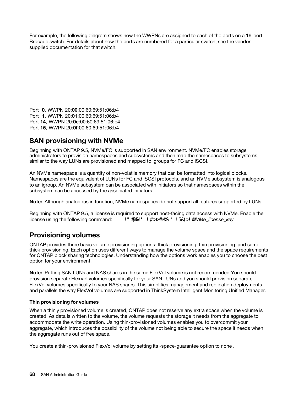For example, the following diagram shows how the WWPNs are assigned to each of the ports on a 16-port Brocade switch. For details about how the ports are numbered for a particular switch, see the vendorsupplied documentation for that switch.

Port 0, WWPN 20:00:00:60:69:51:06:b4 Port 1, WWPN 20:01:00:60:69:51:06:b4 Port 14, WWPN 20:0e:00:60:69:51:06:b4 Port 15, WWPN 20:0f:00:60:69:51:06:b4

# SAN provisioning with NVMe

Beginning with ONTAP 9.5, NVMe/FC is supported in SAN environment. NVMe/FC enables storage administrators to provision namespaces and subsystems and then map the namespaces to subsystems, similar to the way LUNs are provisioned and mapped to igroups for FC and iSCSI.

An NVMe namespace is a quantity of non-volatile memory that can be formatted into logical blocks. Namespaces are the equivalent of LUNs for FC and iSCSI protocols, and an NVMe subsystem is analogous to an igroup. An NVMe subsystem can be associated with initiators so that namespaces within the subsystem can be accessed by the associated initiators.

Note: Although analogous in function, NVMe namespaces do not support all features supported by LUNs.

Beginning with ONTAP 9.5, a license is required to support host-facing data access with NVMe. Enable the license using the following command: system license add -license-code *NVMe license key* 

## Provisioning volumes

ONTAP provides three basic volume provisioning options: thick provisioning, thin provisioning, and semithick provisioning. Each option uses different ways to manage the volume space and the space requirements for ONTAP block sharing technologies. Understanding how the options work enables you to choose the best option for your environment.

Note: Putting SAN LUNs and NAS shares in the same FlexVol volume is not recommended.You should provision separate FlexVol volumes specifically for your SAN LUNs and you should provision separate FlexVol volumes specifically to your NAS shares. This simplifies management and replication deployments and parallels the way FlexVol volumes are supported in ThinkSystem Intelligent Monitoring Unified Manager.

#### Thin provisioning for volumes

When a thinly provisioned volume is created, ONTAP does not reserve any extra space when the volume is created. As data is written to the volume, the volume requests the storage it needs from the aggregate to accommodate the write operation. Using thin-provisioned volumes enables you to overcommit your aggregate, which introduces the possibility of the volume not being able to secure the space it needs when the aggregate runs out of free space.

You create a thin-provisioned FlexVol volume by setting its -space-guarantee option to none .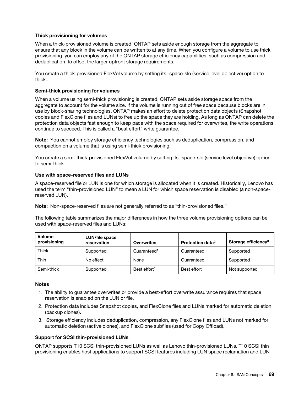### Thick provisioning for volumes

When a thick-provisioned volume is created, ONTAP sets aside enough storage from the aggregate to ensure that any block in the volume can be written to at any time. When you configure a volume to use thick provisioning, you can employ any of the ONTAP storage efficiency capabilities, such as compression and deduplication, to offset the larger upfront storage requirements.

You create a thick-provisioned FlexVol volume by setting its -space-slo (service level objective) option to thick .

#### Semi-thick provisioning for volumes

When a volume using semi-thick provisioning is created, ONTAP sets aside storage space from the aggregate to account for the volume size. If the volume is running out of free space because blocks are in use by block-sharing technologies, ONTAP makes an effort to delete protection data objects (Snapshot copies and FlexClone files and LUNs) to free up the space they are holding. As long as ONTAP can delete the protection data objects fast enough to keep pace with the space required for overwrites, the write operations continue to succeed. This is called a "best effort" write guarantee.

Note: You cannot employ storage efficiency technologies such as deduplication, compression, and compaction on a volume that is using semi-thick provisioning.

You create a semi-thick-provisioned FlexVol volume by setting its -space-slo (service level objective) option to semi-thick .

### Use with space-reserved files and LUNs

A space-reserved file or LUN is one for which storage is allocated when it is created. Historically, Lenovo has used the term "thin-provisioned LUN" to mean a LUN for which space reservation is disabled (a non-spacereserved LUN).

Note: Non-space-reserved files are not generally referred to as "thin-provisioned files."

The following table summarizes the major differences in how the three volume provisioning options can be used with space-reserved files and LUNs:

| <b>Volume</b><br>provisioning | <b>LUN/file space</b><br>reservation | <b>Overwrites</b>        | Protection data <sup>2</sup> | Storage efficiency <sup>3</sup> |
|-------------------------------|--------------------------------------|--------------------------|------------------------------|---------------------------------|
| Thick                         | Supported                            | Guaranteed <sup>1</sup>  | Guaranteed                   | Supported                       |
| Thin                          | No effect                            | None                     | Guaranteed                   | Supported                       |
| Semi-thick                    | Supported                            | Best effort <sup>1</sup> | Best effort                  | Not supported                   |

#### **Notes**

- 1. The ability to guarantee overwrites or provide a best-effort overwrite assurance requires that space reservation is enabled on the LUN or file.
- 2. Protection data includes Snapshot copies, and FlexClone files and LUNs marked for automatic deletion (backup clones).
- 3. Storage efficiency includes deduplication, compression, any FlexClone files and LUNs not marked for automatic deletion (active clones), and FlexClone subfiles (used for Copy Offload).

### Support for SCSI thin-provisioned LUNs

ONTAP supports T10 SCSI thin-provisioned LUNs as well as Lenovo thin-provisioned LUNs. T10 SCSI thin provisioning enables host applications to support SCSI features including LUN space reclamation and LUN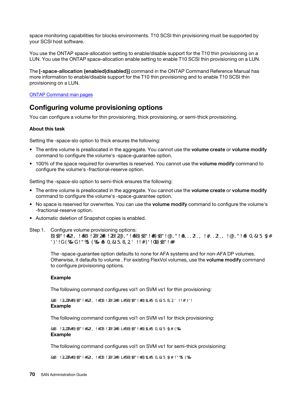space monitoring capabilities for blocks environments. T10 SCSI thin provisioning must be supported by your SCSI host software.

You use the ONTAP space-allocation setting to enable/disable support for the T10 thin provisioning on a LUN. You use the ONTAP space-allocation enable setting to enable T10 SCSI thin provisioning on a LUN.

The [-space-allocation {enabled|disabled}] command in the ONTAP Command Reference Manual has more information to enable/disable support for the T10 thin provisioning and to enable T10 SCSI thin provisioning on a LUN.

ONTAP Command man pages

### Configuring volume provisioning options

You can configure a volume for thin provisioning, thick provisioning, or semi-thick provisioning.

#### About this task

Setting the -space-slo option to thick ensures the following:

- The entire volume is preallocated in the aggregate. You cannot use the volume create or volume modify command to configure the volume's -space-guarantee option.
- 100% of the space required for overwrites is reserved. You cannot use the volume modify command to configure the volume's -fractional-reserve option.

Setting the -space-slo option to semi-thick ensures the following:

- The entire volume is preallocated in the aggregate. You cannot use the volume create or volume modify command to configure the volume's -space-guarantee option.
- No space is reserved for overwrites. You can use the volume modify command to configure the volume's -fractional-reserve option.
- Automatic deletion of Snapshot copies is enabled.
- Step 1. Configure volume provisioning options: volume create -vserver vserver\_name -volume volume\_name -aggregate aggregate\_name -space-slo none|thick|semi-thick -space-guarantee none|volume

The -space-guarantee option defaults to none for AFA systems and for non-AFA DP volumes. Otherwise, it defaults to volume . For existing FlexVol volumes, use the **volume modify** command to configure provisioning options.

#### Example

The following command configures vol1 on SVM vs1 for thin provisioning:

cluster1::> volume create –vserver vs1 -volume vol1 -space-guarantee none Example

The following command configures vol1 on SVM vs1 for thick provisioning:

cluster1::> volume create –vserver vs1 -volume vol1 -space-slo thick Example

The following command configures vol1 on SVM vs1 for semi-thick provisioning:

cluster1::> volume create –vserver vs1 -volume vol1 -space-slo semi-thick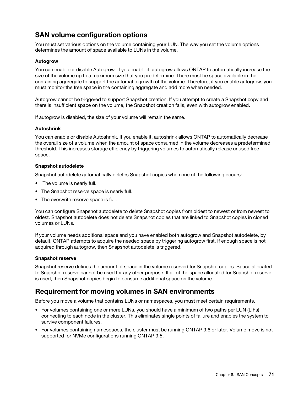# SAN volume configuration options

You must set various options on the volume containing your LUN. The way you set the volume options determines the amount of space available to LUNs in the volume.

### Autogrow

You can enable or disable Autogrow. If you enable it, autogrow allows ONTAP to automatically increase the size of the volume up to a maximum size that you predetermine. There must be space available in the containing aggregate to support the automatic growth of the volume. Therefore, if you enable autogrow, you must monitor the free space in the containing aggregate and add more when needed.

Autogrow cannot be triggered to support Snapshot creation. If you attempt to create a Snapshot copy and there is insufficient space on the volume, the Snapshot creation fails, even with autogrow enabled.

If autogrow is disabled, the size of your volume will remain the same.

#### Autoshrink

You can enable or disable Autoshrink. If you enable it, autoshrink allows ONTAP to automatically decrease the overall size of a volume when the amount of space consumed in the volume decreases a predetermined threshold. This increases storage efficiency by triggering volumes to automatically release unused free space.

#### Snapshot autodelete

Snapshot autodelete automatically deletes Snapshot copies when one of the following occurs:

- The volume is nearly full.
- The Snapshot reserve space is nearly full.
- The overwrite reserve space is full.

You can configure Snapshot autodelete to delete Snapshot copies from oldest to newest or from newest to oldest. Snapshot autodelete does not delete Snapshot copies that are linked to Snapshot copies in cloned volumes or LUNs.

If your volume needs additional space and you have enabled both autogrow and Snapshot autodelete, by default, ONTAP attempts to acquire the needed space by triggering autogrow first. If enough space is not acquired through autogrow, then Snapshot autodelete is triggered.

#### Snapshot reserve

Snapshot reserve defines the amount of space in the volume reserved for Snapshot copies. Space allocated to Snapshot reserve cannot be used for any other purpose. If all of the space allocated for Snapshot reserve is used, then Snapshot copies begin to consume additional space on the volume.

## Requirement for moving volumes in SAN environments

Before you move a volume that contains LUNs or namespaces, you must meet certain requirements.

- For volumes containing one or more LUNs, you should have a minimum of two paths per LUN (LIFs) connecting to each node in the cluster. This eliminates single points of failure and enables the system to survive component failures.
- For volumes containing namespaces, the cluster must be running ONTAP 9.6 or later. Volume move is not supported for NVMe configurations running ONTAP 9.5.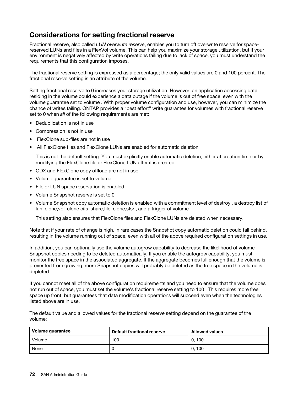# Considerations for setting fractional reserve

Fractional reserve, also called *LUN overwrite reserve*, enables you to turn off overwrite reserve for spacereserved LUNs and files in a FlexVol volume. This can help you maximize your storage utilization, but if your environment is negatively affected by write operations failing due to lack of space, you must understand the requirements that this configuration imposes.

The fractional reserve setting is expressed as a percentage; the only valid values are 0 and 100 percent. The fractional reserve setting is an attribute of the volume.

Setting fractional reserve to 0 increases your storage utilization. However, an application accessing data residing in the volume could experience a data outage if the volume is out of free space, even with the volume guarantee set to volume . With proper volume configuration and use, however, you can minimize the chance of writes failing. ONTAP provides a "best effort" write guarantee for volumes with fractional reserve set to 0 when *all* of the following requirements are met:

- Deduplication is not in use
- Compression is not in use
- FlexClone sub-files are not in use
- All FlexClone files and FlexClone LUNs are enabled for automatic deletion

This is not the default setting. You must explicitly enable automatic deletion, either at creation time or by modifying the FlexClone file or FlexClone LUN after it is created.

- ODX and FlexClone copy offload are not in use
- Volume guarantee is set to volume
- File or LUN space reservation is enabled
- Volume Snapshot reserve is set to 0
- Volume Snapshot copy automatic deletion is enabled with a commitment level of destroy, a destroy list of lun\_clone,vol\_clone,cifs\_share,file\_clone,sfsr, and a trigger of volume

This setting also ensures that FlexClone files and FlexClone LUNs are deleted when necessary.

Note that if your rate of change is high, in rare cases the Snapshot copy automatic deletion could fall behind, resulting in the volume running out of space, even with all of the above required configuration settings in use.

In addition, you can optionally use the volume autogrow capability to decrease the likelihood of volume Snapshot copies needing to be deleted automatically. If you enable the autogrow capability, you must monitor the free space in the associated aggregate. If the aggregate becomes full enough that the volume is prevented from growing, more Snapshot copies will probably be deleted as the free space in the volume is depleted.

If you cannot meet all of the above configuration requirements and you need to ensure that the volume does not run out of space, you must set the volume's fractional reserve setting to 100 . This requires more free space up front, but guarantees that data modification operations will succeed even when the technologies listed above are in use.

The default value and allowed values for the fractional reserve setting depend on the guarantee of the volume:

| Volume guarantee | Default fractional reserve | <b>Allowed values</b> |
|------------------|----------------------------|-----------------------|
| Volume           | 100                        | 0.100                 |
| None             |                            | 0.100                 |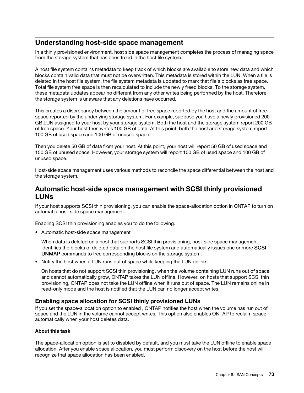## Understanding host-side space management

In a thinly provisioned environment, host side space management completes the process of managing space from the storage system that has been freed in the host file system.

A host file system contains metadata to keep track of which blocks are available to store new data and which blocks contain valid data that must not be overwritten. This metadata is stored within the LUN. When a file is deleted in the host file system, the file system metadata is updated to mark that file's blocks as free space. Total file system free space is then recalculated to include the newly freed blocks. To the storage system, these metadata updates appear no different from any other writes being performed by the host. Therefore, the storage system is unaware that any deletions have occurred.

This creates a discrepancy between the amount of free space reported by the host and the amount of free space reported by the underlying storage system. For example, suppose you have a newly provisioned 200- GB LUN assigned to your host by your storage system. Both the host and the storage system report 200 GB of free space. Your host then writes 100 GB of data. At this point, both the host and storage system report 100 GB of used space and 100 GB of unused space.

Then you delete 50 GB of data from your host. At this point, your host will report 50 GB of used space and 150 GB of unused space. However, your storage system will report 100 GB of used space and 100 GB of unused space.

Host-side space management uses various methods to reconcile the space differential between the host and the storage system.

### Automatic host-side space management with SCSI thinly provisioned LUNs

If your host supports SCSI thin provisioning, you can enable the space-allocation option in ONTAP to turn on automatic host-side space management.

Enabling SCSI thin provisioning enables you to do the following.

• Automatic host-side space management

When data is deleted on a host that supports SCSI thin provisioning, host-side space management identifies the blocks of deleted data on the host file system and automatically issues one or more SCSI UNMAP commands to free corresponding blocks on the storage system.

• Notify the host when a LUN runs out of space while keeping the LUN online

On hosts that do not support SCSI thin provisioning, when the volume containing LUN runs out of space and cannot automatically grow, ONTAP takes the LUN offline. However, on hosts that support SCSI thin provisioning, ONTAP does not take the LUN offline when it runs out of space. The LUN remains online in read-only mode and the host is notified that the LUN can no longer accept writes.

### Enabling space allocation for SCSI thinly provisioned LUNs

If you set the space-allocation option to enabled , ONTAP notifies the host when the volume has run out of space and the LUN in the volume cannot accept writes. This option also enables ONTAP to reclaim space automatically when your host deletes data.

### About this task

The space-allocation option is set to disabled by default, and you must take the LUN offline to enable space allocation. After you enable space allocation, you must perform discovery on the host before the host will recognize that space allocation has been enabled.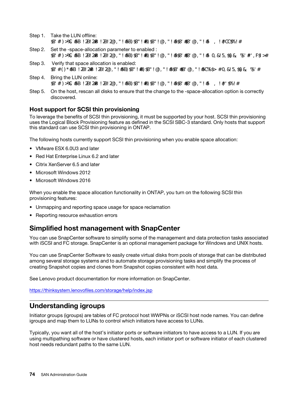- Step 1. Take the LUN offline: lun modify -vserver vserver\_name -volume volume\_name -lun lun\_name -state offline
- Step 2. Set the -space-allocation parameter to enabled : lun modify -vserver vserver\_name -volume volume\_name -lun lun\_name -space-allocation enabled
- Step 3. Verify that space allocation is enabled: lun show -vserver vserver\_name -volume volume\_name -lun lun\_name -fields space-allocation
- Step 4. Bring the LUN online: lun modify -vserver vserver\_name -volume volume\_name -lun lun\_name -state online
- Step 5. On the host, rescan all disks to ensure that the change to the -space-allocation option is correctly discovered.

### Host support for SCSI thin provisioning

To leverage the benefits of SCSI thin provisioning, it must be supported by your host. SCSI thin provisioning uses the Logical Block Provisioning feature as defined in the SCSI SBC-3 standard. Only hosts that support this standard can use SCSI thin provisioning in ONTAP.

The following hosts currently support SCSI thin provisioning when you enable space allocation:

- VMware ESX 6.0U3 and later
- Red Hat Enterprise Linux 6.2 and later
- Citrix XenServer 6.5 and later
- Microsoft Windows 2012
- Microsoft Windows 2016

When you enable the space allocation functionality in ONTAP, you turn on the following SCSI thin provisioning features:

- Unmapping and reporting space usage for space reclamation
- Reporting resource exhaustion errors

## Simplified host management with SnapCenter

You can use SnapCenter software to simplify some of the management and data protection tasks associated with iSCSI and FC storage. SnapCenter is an optional management package for Windows and UNIX hosts.

You can use SnapCenter Software to easily create virtual disks from pools of storage that can be distributed among several storage systems and to automate storage provisioning tasks and simplify the process of creating Snapshot copies and clones from Snapshot copies consistent with host data.

See Lenovo product documentation for more information on SnapCenter.

https://thinksystem.lenovofiles.com/storage/help/index.jsp

### Understanding igroups

Initiator groups (igroups) are tables of FC protocol host WWPNs or iSCSI host node names. You can define igroups and map them to LUNs to control which initiators have access to LUNs.

Typically, you want all of the host's initiator ports or software initiators to have access to a LUN. If you are using multipathing software or have clustered hosts, each initiator port or software initiator of each clustered host needs redundant paths to the same LUN.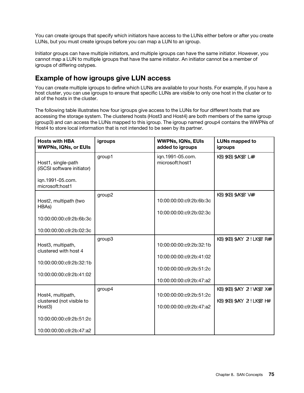You can create igroups that specify which initiators have access to the LUNs either before or after you create LUNs, but you must create igroups before you can map a LUN to an igroup.

Initiator groups can have multiple initiators, and multiple igroups can have the same initiator. However, you cannot map a LUN to multiple igroups that have the same initiator. An initiator cannot be a member of igroups of differing ostypes.

# Example of how igroups give LUN access

You can create multiple igroups to define which LUNs are available to your hosts. For example, if you have a host cluster, you can use igroups to ensure that specific LUNs are visible to only one host in the cluster or to all of the hosts in the cluster.

The following table illustrates how four igroups give access to the LUNs for four different hosts that are accessing the storage system. The clustered hosts (Host3 and Host4) are both members of the same igroup (group3) and can access the LUNs mapped to this igroup. The igroup named group4 contains the WWPNs of Host4 to store local information that is not intended to be seen by its partner.

| <b>Hosts with HBA</b><br><b>WWPNs, IQNs, or EUIs</b>                                                           | igroups | <b>WWPNs, IQNs, EUIs</b><br>added to igroups                                                             | <b>LUNs mapped to</b><br>igroups               |
|----------------------------------------------------------------------------------------------------------------|---------|----------------------------------------------------------------------------------------------------------|------------------------------------------------|
| Host1, single-path<br>(iSCSI software initiator)<br>ign.1991-05.com.<br>microsoft:host1                        | group1  | ign.1991-05.com.<br>microsoft:host1                                                                      | /vol/vol2/lun1                                 |
| Host2, multipath (two<br>HBAs)<br>10:00:00:00:c9:2b:6b:3c<br>10:00:00:00:c9:2b:02:3c                           | group2  | 10:00:00:00:c9:2b:6b:3c<br>10:00:00:00:c9:2b:02:3c                                                       | /vol/vol2/lun2                                 |
| Host3, multipath,<br>clustered with host 4<br>10:00:00:00:c9:2b:32:1b<br>10:00:00:00:c9:2b:41:02               | group3  | 10:00:00:00:c9:2b:32:1b<br>10:00:00:00:c9:2b:41:02<br>10:00:00:00:c9:2b:51:2c<br>10:00:00:00:c9:2b:47:a2 | /vol/vol2/qtree1/lun3                          |
| Host4, multipath,<br>clustered (not visible to<br>Host3)<br>10:00:00:00:c9:2b:51:2c<br>10:00:00:00:c9:2b:47:a2 | group4  | 10:00:00:00:c9:2b:51:2c<br>10:00:00:00:c9:2b:47:a2                                                       | /vol/vol2/qtree2/lun4<br>/vol/vol2/qtree1/lun5 |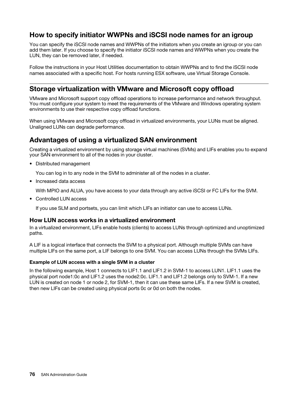# How to specify initiator WWPNs and iSCSI node names for an igroup

You can specify the iSCSI node names and WWPNs of the initiators when you create an igroup or you can add them later. If you choose to specify the initiator iSCSI node names and WWPNs when you create the LUN, they can be removed later, if needed.

Follow the instructions in your Host Utilities documentation to obtain WWPNs and to find the iSCSI node names associated with a specific host. For hosts running ESX software, use Virtual Storage Console.

### Storage virtualization with VMware and Microsoft copy offload

VMware and Microsoft support copy offload operations to increase performance and network throughput. You must configure your system to meet the requirements of the VMware and Windows operating system environments to use their respective copy offload functions.

When using VMware and Microsoft copy offload in virtualized environments, your LUNs must be aligned. Unaligned LUNs can degrade performance.

# Advantages of using a virtualized SAN environment

Creating a virtualized environment by using storage virtual machines (SVMs) and LIFs enables you to expand your SAN environment to all of the nodes in your cluster.

• Distributed management

You can log in to any node in the SVM to administer all of the nodes in a cluster.

• Increased data access

With MPIO and ALUA, you have access to your data through any active iSCSI or FC LIFs for the SVM.

• Controlled LUN access

If you use SLM and portsets, you can limit which LIFs an initiator can use to access LUNs.

### How LUN access works in a virtualized environment

In a virtualized environment, LIFs enable hosts (clients) to access LUNs through optimized and unoptimized paths.

A LIF is a logical interface that connects the SVM to a physical port. Although multiple SVMs can have multiple LIFs on the same port, a LIF belongs to one SVM. You can access LUNs through the SVMs LIFs.

### Example of LUN access with a single SVM in a cluster

In the following example, Host 1 connects to LIF1.1 and LIF1.2 in SVM-1 to access LUN1. LIF1.1 uses the physical port node1:0c and LIF1.2 uses the node2:0c. LIF1.1 and LIF1.2 belongs only to SVM-1. If a new LUN is created on node 1 or node 2, for SVM-1, then it can use these same LIFs. If a new SVM is created, then new LIFs can be created using physical ports 0c or 0d on both the nodes.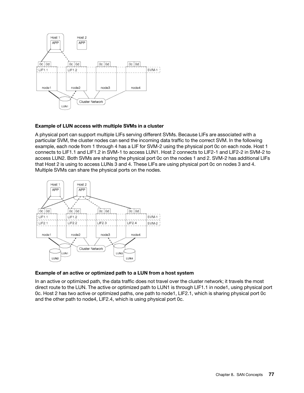

### Example of LUN access with multiple SVMs in a cluster

A physical port can support multiple LIFs serving different SVMs. Because LIFs are associated with a particular SVM, the cluster nodes can send the incoming data traffic to the correct SVM. In the following example, each node from 1 through 4 has a LIF for SVM-2 using the physical port 0c on each node. Host 1 connects to LIF1.1 and LIF1.2 in SVM-1 to access LUN1. Host 2 connects to LIF2-1 and LIF2-2 in SVM-2 to access LUN2. Both SVMs are sharing the physical port 0c on the nodes 1 and 2. SVM-2 has additional LIFs that Host 2 is using to access LUNs 3 and 4. These LIFs are using physical port 0c on nodes 3 and 4. Multiple SVMs can share the physical ports on the nodes.



#### Example of an active or optimized path to a LUN from a host system

In an active or optimized path, the data traffic does not travel over the cluster network; it travels the most direct route to the LUN. The active or optimized path to LUN1 is through LIF1.1 in node1, using physical port 0c. Host 2 has two active or optimized paths, one path to node1, LIF2.1, which is sharing physical port 0c and the other path to node4, LIF2.4, which is using physical port 0c.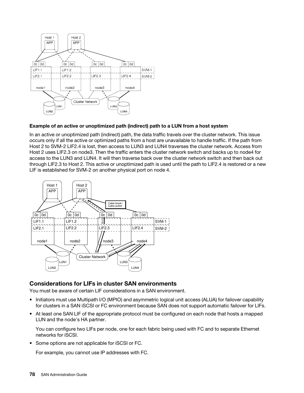

### Example of an active or unoptimized path (indirect) path to a LUN from a host system

In an active or unoptimized path (indirect) path, the data traffic travels over the cluster network. This issue occurs only if all the active or optimized paths from a host are unavailable to handle traffic. If the path from Host 2 to SVM-2 LIF2.4 is lost, then access to LUN3 and LUN4 traverses the cluster network. Access from Host 2 uses LIF2.3 on node3. Then the traffic enters the cluster network switch and backs up to node4 for access to the LUN3 and LUN4. It will then traverse back over the cluster network switch and then back out through LIF2.3 to Host 2. This active or unoptimized path is used until the path to LIF2.4 is restored or a new LIF is established for SVM-2 on another physical port on node 4.



### Considerations for LIFs in cluster SAN environments

You must be aware of certain LIF considerations in a SAN environment.

- Initiators must use Multipath I/O (MPIO) and asymmetric logical unit access (ALUA) for failover capability for clusters in a SAN iSCSI or FC environment because SAN does not support automatic failover for LIFs.
- At least one SAN LIF of the appropriate protocol must be configured on each node that hosts a mapped LUN and the node's HA partner.

You can configure two LIFs per node, one for each fabric being used with FC and to separate Ethernet networks for iSCSI.

• Some options are not applicable for iSCSI or FC.

For example, you cannot use IP addresses with FC.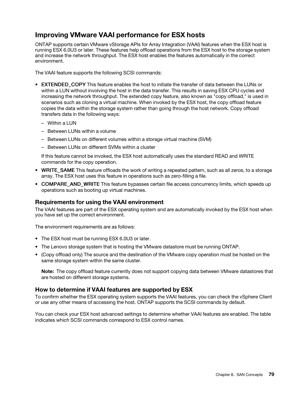# Improving VMware VAAI performance for ESX hosts

ONTAP supports certain VMware vStorage APIs for Array Integration (VAAI) features when the ESX host is running ESX 6.0U3 or later. These features help offload operations from the ESX host to the storage system and increase the network throughput. The ESX host enables the features automatically in the correct environment.

The VAAI feature supports the following SCSI commands:

- EXTENDED COPY This feature enables the host to initiate the transfer of data between the LUNs or within a LUN without involving the host in the data transfer. This results in saving ESX CPU cycles and increasing the network throughput. The extended copy feature, also known as "copy offload," is used in scenarios such as cloning a virtual machine. When invoked by the ESX host, the copy offload feature copies the data within the storage system rather than going through the host network. Copy offload transfers data in the following ways:
	- Within a LUN
	- Between LUNs within a volume
	- Between LUNs on different volumes within a storage virtual machine (SVM)
	- Between LUNs on different SVMs within a cluster

If this feature cannot be invoked, the ESX host automatically uses the standard READ and WRITE commands for the copy operation.

- WRITE\_SAME This feature offloads the work of writing a repeated pattern, such as all zeros, to a storage array. The ESX host uses this feature in operations such as zero-filling a file.
- COMPARE AND WRITE This feature bypasses certain file access concurrency limits, which speeds up operations such as booting up virtual machines.

### Requirements for using the VAAI environment

The VAAI features are part of the ESX operating system and are automatically invoked by the ESX host when you have set up the correct environment.

The environment requirements are as follows:

- The ESX host must be running ESX 6.0U3 or later.
- The Lenovo storage system that is hosting the VMware datastore must be running ONTAP.
- (Copy offload only) The source and the destination of the VMware copy operation must be hosted on the same storage system within the same cluster.

Note: The copy offload feature currently does not support copying data between VMware datastores that are hosted on different storage systems.

### How to determine if VAAI features are supported by ESX

To confirm whether the ESX operating system supports the VAAI features, you can check the vSphere Client or use any other means of accessing the host. ONTAP supports the SCSI commands by default.

You can check your ESX host advanced settings to determine whether VAAI features are enabled. The table indicates which SCSI commands correspond to ESX control names.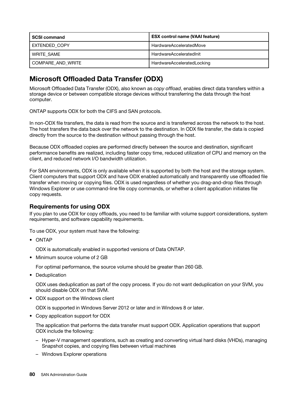| <b>SCSI command</b>  | <b>ESX control name (VAAI feature)</b> |  |
|----------------------|----------------------------------------|--|
| <b>EXTENDED COPY</b> | HardwareAcceleratedMove                |  |
| WRITE SAME           | HardwareAcceleratedInit                |  |
| COMPARE AND WRITE    | HardwareAcceleratedLocking             |  |

# Microsoft Offloaded Data Transfer (ODX)

Microsoft Offloaded Data Transfer (ODX), also known as *copy offload*, enables direct data transfers within a storage device or between compatible storage devices without transferring the data through the host computer.

ONTAP supports ODX for both the CIFS and SAN protocols.

In non-ODX file transfers, the data is read from the source and is transferred across the network to the host. The host transfers the data back over the network to the destination. In ODX file transfer, the data is copied directly from the source to the destination without passing through the host.

Because ODX offloaded copies are performed directly between the source and destination, significant performance benefits are realized, including faster copy time, reduced utilization of CPU and memory on the client, and reduced network I/O bandwidth utilization.

For SAN environments, ODX is only available when it is supported by both the host and the storage system. Client computers that support ODX and have ODX enabled automatically and transparently use offloaded file transfer when moving or copying files. ODX is used regardless of whether you drag-and-drop files through Windows Explorer or use command-line file copy commands, or whether a client application initiates file copy requests.

### Requirements for using ODX

If you plan to use ODX for copy offloads, you need to be familiar with volume support considerations, system requirements, and software capability requirements.

To use ODX, your system must have the following:

• ONTAP

ODX is automatically enabled in supported versions of Data ONTAP.

• Minimum source volume of 2 GB

For optimal performance, the source volume should be greater than 260 GB.

• Deduplication

ODX uses deduplication as part of the copy process. If you do not want deduplication on your SVM, you should disable ODX on that SVM.

• ODX support on the Windows client

ODX is supported in Windows Server 2012 or later and in Windows 8 or later.

• Copy application support for ODX

The application that performs the data transfer must support ODX. Application operations that support ODX include the following:

- Hyper-V management operations, such as creating and converting virtual hard disks (VHDs), managing Snapshot copies, and copying files between virtual machines
- Windows Explorer operations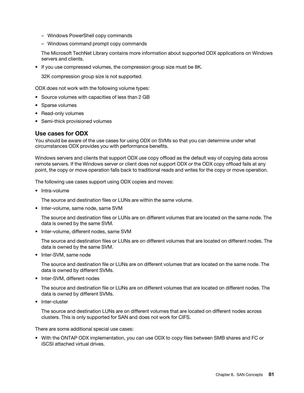- Windows PowerShell copy commands
- Windows command prompt copy commands

The Microsoft TechNet Library contains more information about supported ODX applications on Windows servers and clients.

• If you use compressed volumes, the compression group size must be 8K.

32K compression group size is not supported.

ODX does not work with the following volume types:

- Source volumes with capacities of less than 2 GB
- Sparse volumes
- Read-only volumes
- Semi-thick provisioned volumes

### Use cases for ODX

You should be aware of the use cases for using ODX on SVMs so that you can determine under what circumstances ODX provides you with performance benefits.

Windows servers and clients that support ODX use copy offload as the default way of copying data across remote servers. If the Windows server or client does not support ODX or the ODX copy offload fails at any point, the copy or move operation falls back to traditional reads and writes for the copy or move operation.

The following use cases support using ODX copies and moves:

• Intra-volume

The source and destination files or LUNs are within the same volume.

• Inter-volume, same node, same SVM

The source and destination files or LUNs are on different volumes that are located on the same node. The data is owned by the same SVM.

• Inter-volume, different nodes, same SVM

The source and destination files or LUNs are on different volumes that are located on different nodes. The data is owned by the same SVM.

• Inter-SVM, same node

The source and destination file or LUNs are on different volumes that are located on the same node. The data is owned by different SVMs.

• Inter-SVM, different nodes

The source and destination file or LUNs are on different volumes that are located on different nodes. The data is owned by different SVMs.

• Inter-cluster

The source and destination LUNs are on different volumes that are located on different nodes across clusters. This is only supported for SAN and does not work for CIFS.

There are some additional special use cases:

• With the ONTAP ODX implementation, you can use ODX to copy files between SMB shares and FC or iSCSI attached virtual drives.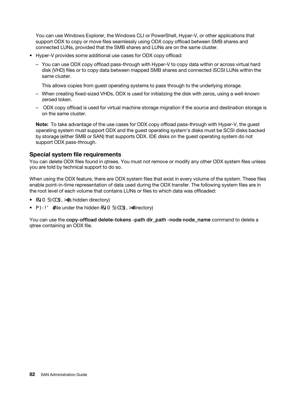You can use Windows Explorer, the Windows CLI or PowerShell, Hyper-V, or other applications that support ODX to copy or move files seamlessly using ODX copy offload between SMB shares and connected LUNs, provided that the SMB shares and LUNs are on the same cluster.

- Hyper-V provides some additional use cases for ODX copy offload:
	- You can use ODX copy offload pass-through with Hyper-V to copy data within or across virtual hard disk (VHD) files or to copy data between mapped SMB shares and connected iSCSI LUNs within the same cluster.

This allows copies from guest operating systems to pass through to the underlying storage.

- When creating fixed-sized VHDs, ODX is used for initializing the disk with zeros, using a well-known zeroed token.
- ODX copy offload is used for virtual machine storage migration if the source and destination storage is on the same cluster.

Note: To take advantage of the use cases for ODX copy offload pass-through with Hyper-V, the quest operating system must support ODX and the guest operating system's disks must be SCSI disks backed by storage (either SMB or SAN) that supports ODX. IDE disks on the guest operating system do not support ODX pass-through.

### Special system file requirements

You can delete ODX files found in qtrees. You must not remove or modify any other ODX system files unless you are told by technical support to do so.

When using the ODX feature, there are ODX system files that exist in every volume of the system. These files enable point-in-time representation of data used during the ODX transfer. The following system files are in the root level of each volume that contains LUNs or files to which data was offloaded:

- .copy-offload (a hidden directory)
- .tokens (file under the hidden .copy-offload directory)

You can use the copy-offload delete-tokens -path dir path -node node name command to delete a qtree containing an ODX file.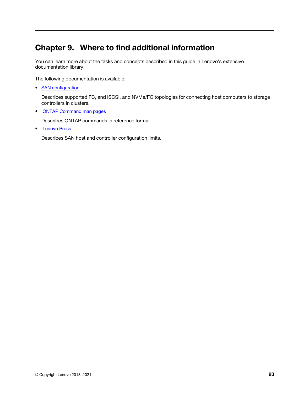# Chapter 9. Where to find additional information

You can learn more about the tasks and concepts described in this guide in Lenovo's extensive documentation library.

The following documentation is available:

• SAN configuration

Describes supported FC, and iSCSI, and NVMe/FC topologies for connecting host computers to storage controllers in clusters.

• ONTAP Command man pages

Describes ONTAP commands in reference format.

• Lenovo Press

Describes SAN host and controller configuration limits.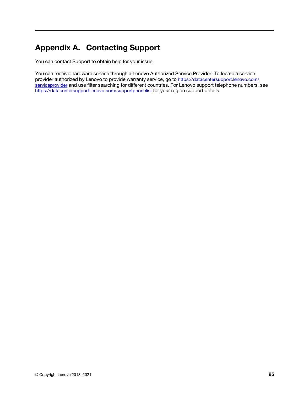# Appendix A. Contacting Support

You can contact Support to obtain help for your issue.

You can receive hardware service through a Lenovo Authorized Service Provider. To locate a service provider authorized by Lenovo to provide warranty service, go to https://datacentersupport.lenovo.com/ serviceprovider and use filter searching for different countries. For Lenovo support telephone numbers, see https://datacentersupport.lenovo.com/supportphonelist for your region support details.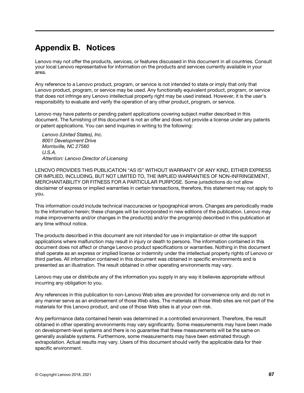# Appendix B. Notices

Lenovo may not offer the products, services, or features discussed in this document in all countries. Consult your local Lenovo representative for information on the products and services currently available in your area.

Any reference to a Lenovo product, program, or service is not intended to state or imply that only that Lenovo product, program, or service may be used. Any functionally equivalent product, program, or service that does not infringe any Lenovo intellectual property right may be used instead. However, it is the user's responsibility to evaluate and verify the operation of any other product, program, or service.

Lenovo may have patents or pending patent applications covering subject matter described in this document. The furnishing of this document is not an offer and does not provide a license under any patents or patent applications. You can send inquiries in writing to the following:

*Lenovo (United States), Inc. 8001 Development Drive Morrisville, NC 27560 U.S.A. Attention: Lenovo Director of Licensing*

LENOVO PROVIDES THIS PUBLICATION "AS IS" WITHOUT WARRANTY OF ANY KIND, EITHER EXPRESS OR IMPLIED, INCLUDING, BUT NOT LIMITED TO, THE IMPLIED WARRANTIES OF NON-INFRINGEMENT, MERCHANTABILITY OR FITNESS FOR A PARTICULAR PURPOSE. Some jurisdictions do not allow disclaimer of express or implied warranties in certain transactions, therefore, this statement may not apply to you.

This information could include technical inaccuracies or typographical errors. Changes are periodically made to the information herein; these changes will be incorporated in new editions of the publication. Lenovo may make improvements and/or changes in the product(s) and/or the program(s) described in this publication at any time without notice.

The products described in this document are not intended for use in implantation or other life support applications where malfunction may result in injury or death to persons. The information contained in this document does not affect or change Lenovo product specifications or warranties. Nothing in this document shall operate as an express or implied license or indemnity under the intellectual property rights of Lenovo or third parties. All information contained in this document was obtained in specific environments and is presented as an illustration. The result obtained in other operating environments may vary.

Lenovo may use or distribute any of the information you supply in any way it believes appropriate without incurring any obligation to you.

Any references in this publication to non-Lenovo Web sites are provided for convenience only and do not in any manner serve as an endorsement of those Web sites. The materials at those Web sites are not part of the materials for this Lenovo product, and use of those Web sites is at your own risk.

Any performance data contained herein was determined in a controlled environment. Therefore, the result obtained in other operating environments may vary significantly. Some measurements may have been made on development-level systems and there is no guarantee that these measurements will be the same on generally available systems. Furthermore, some measurements may have been estimated through extrapolation. Actual results may vary. Users of this document should verify the applicable data for their specific environment.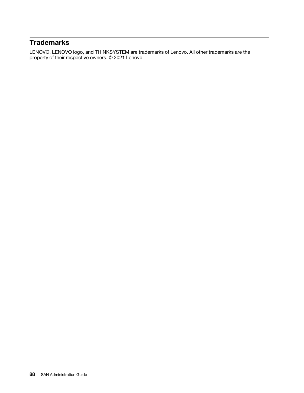# **Trademarks**

LENOVO, LENOVO logo, and THINKSYSTEM are trademarks of Lenovo. All other trademarks are the property of their respective owners. © 2021 Lenovo.